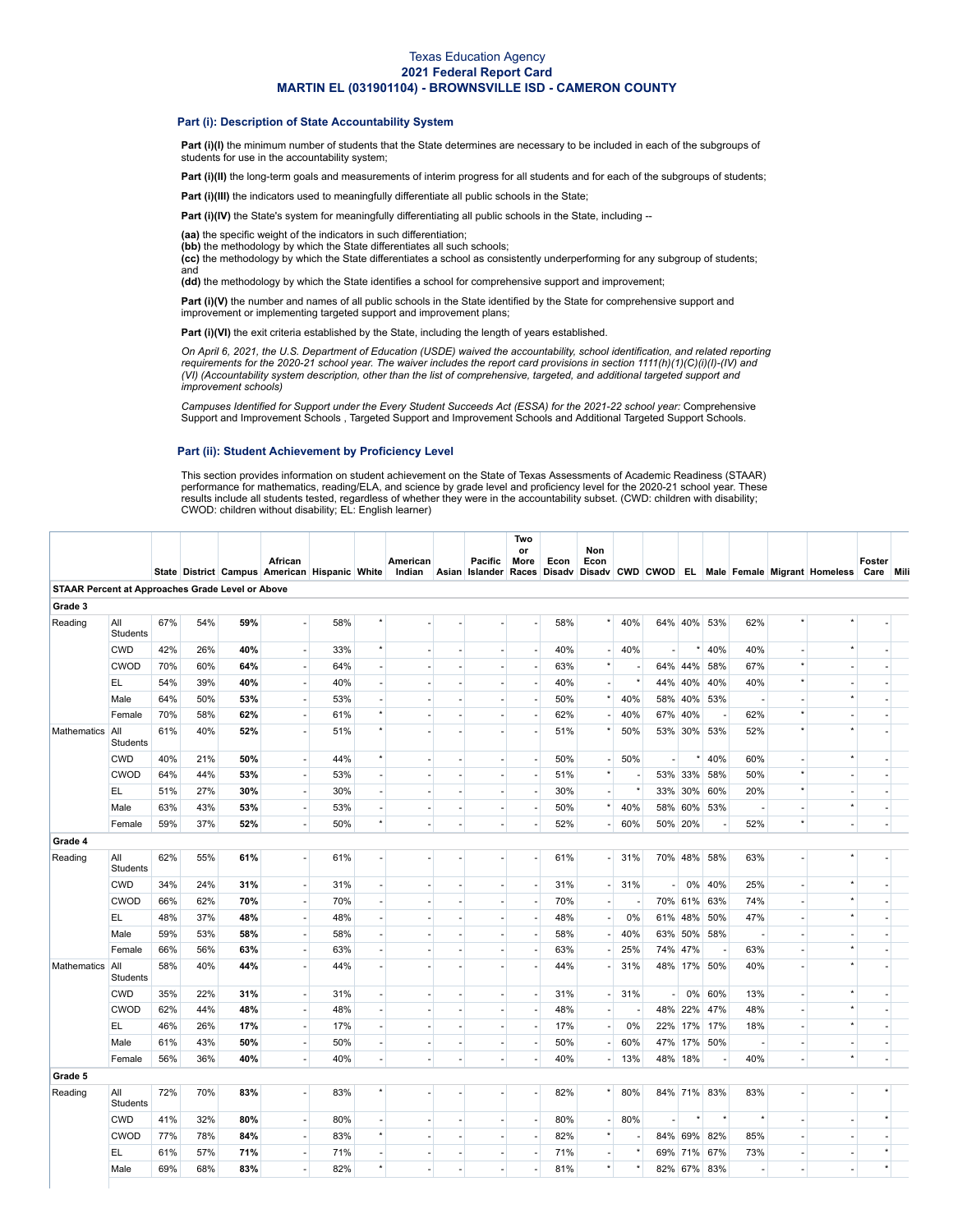### Texas Education Agency **2021 Federal Report Card MARTIN EL (031901104) - BROWNSVILLE ISD - CAMERON COUNTY**

#### **Part (i): Description of State Accountability System**

Part (i)(I) the minimum number of students that the State determines are necessary to be included in each of the subgroups of students for use in the accountability system;

Part (i)(II) the long-term goals and measurements of interim progress for all students and for each of the subgroups of students;

**Part (i)(III)** the indicators used to meaningfully differentiate all public schools in the State;

**Part (i)(IV)** the State's system for meaningfully differentiating all public schools in the State, including --

**(aa)** the specific weight of the indicators in such differentiation;

(bb) the methodology by which the State differentiates all such schools;

**(cc)** the methodology by which the State differentiates a school as consistently underperforming for any subgroup of students; and

**(dd)** the methodology by which the State identifies a school for comprehensive support and improvement;

**Part (i)(V)** the number and names of all public schools in the State identified by the State for comprehensive support and improvement or implementing targeted support and improvement plans;

Part (i)(VI) the exit criteria established by the State, including the length of years established.

On April 6, 2021, the U.S. Department of Education (USDE) waived the accountability, school identification, and related reporting requirements for the 2020-21 school year. The waiver includes the report card provisions in section 1111(h)(1)(C)(i)(l)-(IV) and<br>(VI) (Accountability system description, other than the list of comprehensive, targeted, and *improvement schools)*

Campuses Identified for Support under the Every Student Succeeds Act (ESSA) for the 2021-22 school year: [Comprehensive](https://tea.texas.gov/sites/default/files/comprehensive_support_2021.xlsx) Support and Improvement Schools , Targeted Support and [Improvement](https://tea.texas.gov/sites/default/files/targeted_support_2021.xlsx) Schools and [Additional](https://tea.texas.gov/sites/default/files/additional_targeted_support_2021.xlsx) Targeted Support Schools.

#### **Part (ii): Student Achievement by Proficiency Level**

This section provides information on student achievement on the State of Texas Assessments of Academic Readiness (STAAR) performance for mathematics, reading/ELA, and science by grade level and proficiency level for the 2020-21 school year. These results include all students tested, regardless of whether they were in the accountability subset. (CWD: children with disability; CWOD: children without disability; EL: English learner)

|                                                  |                        |     |     |     | African<br>State District Campus American Hispanic White |     |                          | American<br>Indian |                          | Pacific<br>Asian Islander Races Disadv | Two<br>or<br>More        | Econ | Non<br>Econ              |         |                          |         |                          |         | Disady CWD CWOD EL Male Female Migrant Homeless Care Mili | Foster         |  |
|--------------------------------------------------|------------------------|-----|-----|-----|----------------------------------------------------------|-----|--------------------------|--------------------|--------------------------|----------------------------------------|--------------------------|------|--------------------------|---------|--------------------------|---------|--------------------------|---------|-----------------------------------------------------------|----------------|--|
| STAAR Percent at Approaches Grade Level or Above |                        |     |     |     |                                                          |     |                          |                    |                          |                                        |                          |      |                          |         |                          |         |                          |         |                                                           |                |  |
| Grade 3                                          |                        |     |     |     |                                                          |     |                          |                    |                          |                                        |                          |      |                          |         |                          |         |                          |         |                                                           |                |  |
| Reading                                          | All<br>Students        | 67% | 54% | 59% |                                                          | 58% |                          |                    |                          |                                        |                          | 58%  |                          | 40%     |                          | 64% 40% | 53%                      | 62%     |                                                           |                |  |
|                                                  | <b>CWD</b>             | 42% | 26% | 40% | ÷                                                        | 33% | $\star$                  |                    |                          | $\overline{a}$                         | $\overline{\phantom{a}}$ | 40%  |                          | 40%     |                          |         | 40%                      | 40%     |                                                           |                |  |
|                                                  | <b>CWOD</b>            | 70% | 60% | 64% | ÷,                                                       | 64% | ä,                       |                    |                          |                                        | $\overline{\phantom{a}}$ | 63%  |                          |         |                          | 64% 44% | 58%                      | 67%     |                                                           |                |  |
|                                                  | EL.                    | 54% | 39% | 40% | ä,                                                       | 40% |                          |                    |                          | ä,                                     | $\sim$                   | 40%  |                          |         |                          | 44% 40% | 40%                      | 40%     |                                                           |                |  |
|                                                  | Male                   | 64% | 50% | 53% | $\overline{\phantom{a}}$                                 | 53% |                          |                    |                          | ä,                                     | $\overline{\phantom{a}}$ | 50%  |                          | 40%     | 58%                      | 40%     | 53%                      |         |                                                           |                |  |
|                                                  | Female                 | 70% | 58% | 62% | ÷                                                        | 61% | $\star$                  |                    |                          | ٠                                      | $\overline{\phantom{a}}$ | 62%  |                          | 40%     |                          | 67% 40% | $\overline{\phantom{a}}$ | 62%     |                                                           |                |  |
| <b>Mathematics</b>                               | All<br>Students        | 61% | 40% | 52% |                                                          | 51% | $\star$                  |                    |                          | ä,                                     |                          | 51%  |                          | 50%     |                          |         | 53% 30% 53%              | 52%     |                                                           |                |  |
|                                                  | <b>CWD</b>             | 40% | 21% | 50% | $\overline{\phantom{a}}$                                 | 44% | $\star$                  |                    |                          | $\overline{\phantom{a}}$               | $\overline{\phantom{a}}$ | 50%  |                          | 50%     | $\overline{\phantom{a}}$ | $\star$ | 40%                      | 60%     | $\star$                                                   |                |  |
|                                                  | <b>CWOD</b>            | 64% | 44% | 53% | ÷,                                                       | 53% | L.                       |                    |                          | ÷,                                     | $\sim$                   | 51%  | $\star$                  |         |                          | 53% 33% | 58%                      | 50%     |                                                           |                |  |
|                                                  | EL.                    | 51% | 27% | 30% | $\blacksquare$                                           | 30% | ä,                       |                    |                          | ä,                                     | $\overline{\phantom{a}}$ | 30%  |                          |         |                          | 33% 30% | 60%                      | 20%     |                                                           |                |  |
|                                                  | Male                   | 63% | 43% | 53% | $\sim$                                                   | 53% | ٠                        |                    | $\overline{\phantom{a}}$ | $\sim$                                 | $\overline{\phantom{a}}$ | 50%  |                          | 40%     |                          | 58% 60% | 53%                      |         | $\star$                                                   |                |  |
|                                                  | Female                 | 59% | 37% | 52% | ÷,                                                       | 50% | $\star$                  |                    | $\sim$                   | $\overline{\phantom{a}}$               | $\overline{\phantom{a}}$ | 52%  |                          | 60%     |                          | 50% 20% | ÷,                       | 52%     | $\overline{a}$                                            | $\overline{a}$ |  |
| Grade 4                                          |                        |     |     |     |                                                          |     |                          |                    |                          |                                        |                          |      |                          |         |                          |         |                          |         |                                                           |                |  |
| Reading                                          | All<br>Students        | 62% | 55% | 61% | ä,                                                       | 61% |                          |                    |                          | ٠                                      |                          | 61%  |                          | 31%     |                          |         | 70% 48% 58%              | 63%     |                                                           |                |  |
|                                                  | <b>CWD</b>             | 34% | 24% | 31% | $\overline{\phantom{a}}$                                 | 31% | ä,                       |                    |                          | $\sim$                                 | $\overline{\phantom{a}}$ | 31%  | ÷,                       | 31%     | ÷.                       |         | 0% 40%                   | 25%     |                                                           |                |  |
|                                                  | <b>CWOD</b>            | 66% | 62% | 70% | $\overline{\phantom{a}}$                                 | 70% | ÷,                       |                    |                          | $\overline{\phantom{a}}$               | $\overline{\phantom{a}}$ | 70%  | $\overline{a}$           |         |                          |         | 70% 61% 63%              | 74%     |                                                           |                |  |
|                                                  | EL.                    | 48% | 37% | 48% |                                                          | 48% | ä,                       |                    |                          | $\sim$                                 |                          | 48%  |                          | 0%      |                          | 61% 48% | 50%                      | 47%     |                                                           |                |  |
|                                                  | Male                   | 59% | 53% | 58% | ÷,                                                       | 58% | ä,                       |                    |                          | ÷,                                     | $\overline{\phantom{a}}$ | 58%  |                          | 40%     |                          | 63% 50% | 58%                      |         |                                                           |                |  |
|                                                  | Female                 | 66% | 56% | 63% | ä,                                                       | 63% | ×.                       |                    |                          | ÷.                                     | $\sim$                   | 63%  |                          | 25%     |                          | 74% 47% | ٠.                       | 63%     |                                                           |                |  |
| Mathematics                                      | All<br><b>Students</b> | 58% | 40% | 44% | ä,                                                       | 44% |                          |                    |                          |                                        |                          | 44%  |                          | 31%     |                          | 48% 17% | 50%                      | 40%     |                                                           |                |  |
|                                                  | <b>CWD</b>             | 35% | 22% | 31% | $\sim$                                                   | 31% | ä,                       |                    |                          | $\sim$                                 | $\overline{\phantom{a}}$ | 31%  |                          | 31%     | ÷.                       | 0%      | 60%                      | 13%     | $\star$                                                   |                |  |
|                                                  | CWOD                   | 62% | 44% | 48% | $\overline{\phantom{a}}$                                 | 48% | $\blacksquare$           |                    |                          | $\overline{\phantom{a}}$               | $\overline{\phantom{a}}$ | 48%  | $\overline{a}$           |         |                          | 48% 22% | 47%                      | 48%     |                                                           |                |  |
|                                                  | EL.                    | 46% | 26% | 17% | $\overline{\phantom{a}}$                                 | 17% | ä,                       |                    |                          | $\overline{\phantom{a}}$               | $\overline{\phantom{a}}$ | 17%  | $\overline{\phantom{a}}$ | 0%      |                          | 22% 17% | 17%                      | 18%     | $\star$                                                   |                |  |
|                                                  | Male                   | 61% | 43% | 50% | ÷,                                                       | 50% | ä,                       |                    |                          | $\sim$                                 |                          | 50%  |                          | 60%     |                          | 47% 17% | 50%                      |         |                                                           |                |  |
|                                                  | Female                 | 56% | 36% | 40% | ÷.                                                       | 40% | ä,                       |                    | ÷.                       | $\sim$                                 | $\sim$                   | 40%  |                          | 13%     |                          | 48% 18% | $\overline{\phantom{a}}$ | 40%     | $^\star$                                                  |                |  |
| Grade 5                                          |                        |     |     |     |                                                          |     |                          |                    |                          |                                        |                          |      |                          |         |                          |         |                          |         |                                                           |                |  |
| Reading                                          | All<br>Students        | 72% | 70% | 83% | ÷,                                                       | 83% | $\star$                  |                    |                          | ä,                                     | ÷,                       | 82%  |                          | 80%     |                          |         | 84% 71% 83%              | 83%     |                                                           |                |  |
|                                                  | <b>CWD</b>             | 41% | 32% | 80% | $\blacksquare$                                           | 80% | $\blacksquare$           |                    |                          | ÷,                                     | $\overline{\phantom{a}}$ | 80%  |                          | 80%     | ä,                       |         | $\star$                  | $\star$ |                                                           |                |  |
|                                                  | <b>CWOD</b>            | 77% | 78% | 84% | ä,                                                       | 83% | $\star$                  |                    |                          | $\sim$                                 | $\sim$                   | 82%  | $\star$                  |         |                          | 84% 69% | 82%                      | 85%     |                                                           |                |  |
|                                                  | EL.                    | 61% | 57% | 71% | $\overline{\phantom{a}}$                                 | 71% | $\overline{\phantom{a}}$ |                    |                          | $\overline{\phantom{a}}$               | $\overline{\phantom{a}}$ | 71%  | $\overline{a}$           |         |                          | 69% 71% | 67%                      | 73%     | $\overline{\phantom{a}}$                                  |                |  |
|                                                  | Male                   | 69% | 68% | 83% | $\sim$                                                   | 82% | $\star$                  |                    |                          | $\sim$                                 | $\sim$                   | 81%  | $\star$                  | $\star$ |                          | 82% 67% | 83%                      |         | ×                                                         | $\star$        |  |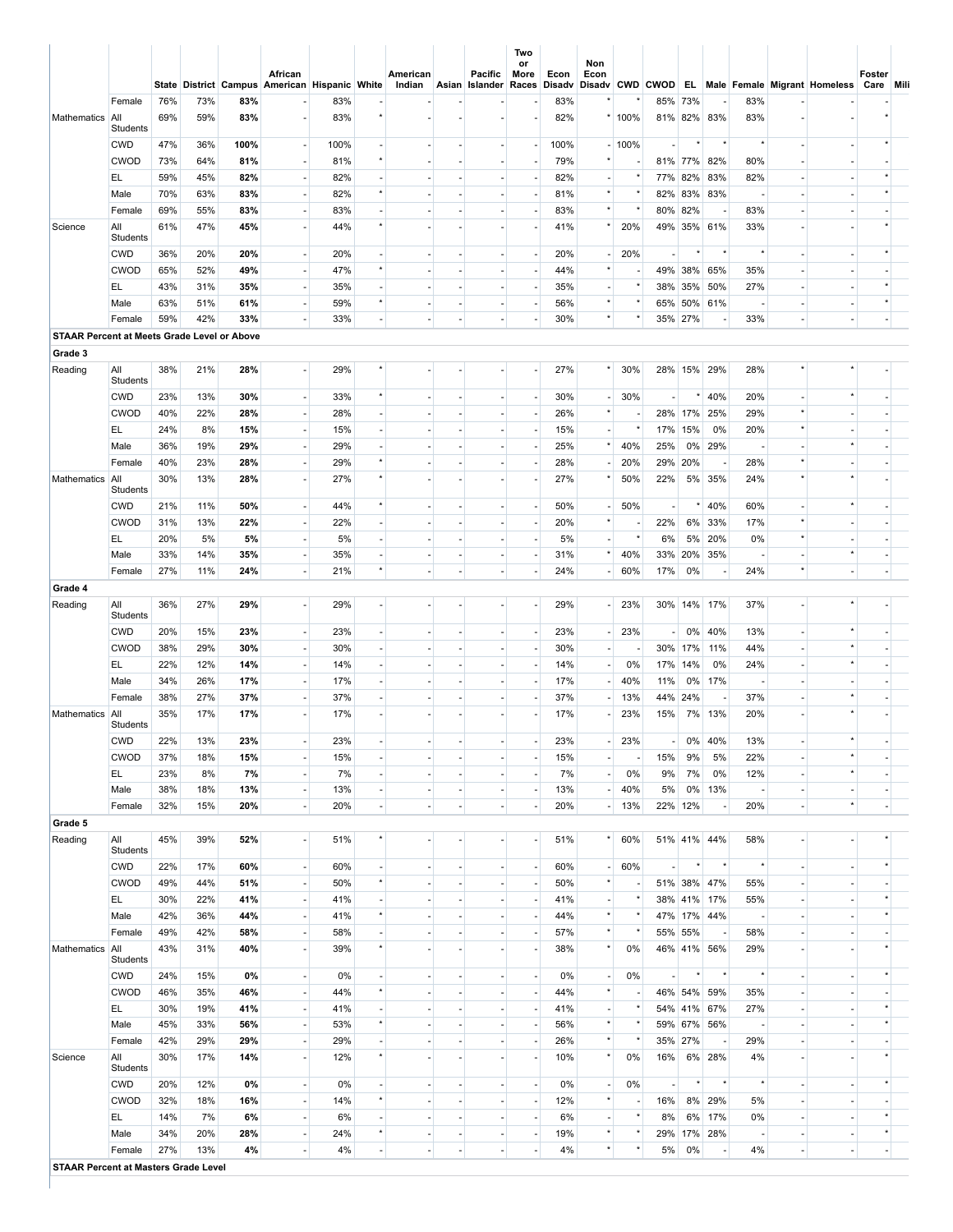|                                                    |                        |            |            |            | African<br>State District Campus American Hispanic White |            |                          | American<br>Indian |                          | Pacific<br>Asian Islander | or<br>More<br>Races      | Econ<br><b>Disadv</b> | Non<br>Econ              |                          |     |               |                          |            | Disadv CWD CWOD EL Male Female Migrant Homeless | Foster<br>Care Mili |  |
|----------------------------------------------------|------------------------|------------|------------|------------|----------------------------------------------------------|------------|--------------------------|--------------------|--------------------------|---------------------------|--------------------------|-----------------------|--------------------------|--------------------------|-----|---------------|--------------------------|------------|-------------------------------------------------|---------------------|--|
|                                                    | Female                 | 76%        | 73%        | 83%        |                                                          | 83%        |                          |                    |                          |                           |                          | 83%                   |                          |                          |     | 85% 73%       |                          | 83%        |                                                 |                     |  |
| Mathematics All                                    | Students               | 69%        | 59%        | 83%        | ٠                                                        | 83%        | $\star$                  |                    |                          | ٠                         | ×.                       | 82%                   |                          | 100%                     |     |               | 81% 82% 83%              | 83%        |                                                 |                     |  |
|                                                    | <b>CWD</b>             | 47%        | 36%        | 100%       | $\overline{\phantom{a}}$                                 | 100%       | $\blacksquare$           |                    |                          | $\sim$                    | $\sim$                   | 100%                  |                          | 100%                     | ٠   | $\star$       | $^\star$                 |            |                                                 |                     |  |
|                                                    | <b>CWOD</b>            | 73%        | 64%        | 81%        | ÷                                                        | 81%        | $^\star$                 |                    |                          | ٠                         | ÷.                       | 79%                   |                          |                          |     |               | 81% 77% 82%              | 80%        |                                                 |                     |  |
|                                                    | EL                     | 59%        | 45%        | 82%        | ٠                                                        | 82%        | ÷.                       |                    |                          | $\sim$                    | ÷.                       | 82%                   | $\overline{\phantom{a}}$ |                          |     |               | 77% 82% 83%              | 82%        |                                                 |                     |  |
|                                                    | Male                   | 70%        | 63%        | 83%        | $\overline{\phantom{a}}$                                 | 82%        | $^\star$                 |                    |                          | ٠                         | ÷.                       | 81%                   |                          |                          |     |               | 82% 83% 83%              |            |                                                 |                     |  |
|                                                    | Female                 | 69%        | 55%        | 83%        | ÷.                                                       | 83%        | ä,                       |                    |                          | ٠                         | $\sim$                   | 83%                   | $^\star$                 | $^\star$                 |     | 80% 82%       | $\overline{\phantom{a}}$ | 83%        |                                                 |                     |  |
| Science                                            | All                    | 61%        | 47%        | 45%        | ÷.                                                       | 44%        | $^\star$                 |                    |                          | ٠                         | $\sim$                   | 41%                   |                          | 20%                      |     |               | 49% 35% 61%              | 33%        |                                                 |                     |  |
|                                                    | Students               |            |            |            |                                                          |            |                          |                    |                          |                           |                          |                       |                          |                          |     |               |                          |            |                                                 |                     |  |
|                                                    | <b>CWD</b>             | 36%        | 20%        | 20%        | $\overline{\phantom{a}}$                                 | 20%        | ä,                       |                    |                          | ٠                         | $\overline{\phantom{a}}$ | 20%                   |                          | 20%                      | ٠   | $\star$       | $^\star$                 |            |                                                 |                     |  |
|                                                    | <b>CWOD</b>            | 65%        | 52%        | 49%        | $\overline{\phantom{a}}$                                 | 47%        | $\star$                  |                    |                          | $\overline{\phantom{a}}$  | $\overline{\phantom{a}}$ | 44%                   |                          |                          |     |               | 49% 38% 65%              | 35%        |                                                 |                     |  |
|                                                    | EL.                    | 43%        | 31%        | 35%        | ٠                                                        | 35%        | $\blacksquare$           |                    |                          | ٠                         | $\overline{\phantom{a}}$ | 35%                   |                          | $\star$                  |     | 38% 35%       | 50%                      | 27%        |                                                 |                     |  |
|                                                    | Male                   | 63%        | 51%        | 61%        | $\overline{\phantom{a}}$                                 | 59%        | $^\star$                 |                    |                          | $\overline{\phantom{a}}$  | $\overline{\phantom{a}}$ | 56%                   |                          | $\star$                  |     | 65% 50%       | 61%                      |            |                                                 |                     |  |
|                                                    | Female                 | 59%        | 42%        | 33%        |                                                          | 33%        | $\blacksquare$           |                    | $\sim$                   | ٠                         |                          | 30%                   |                          |                          |     | 35% 27%       |                          | 33%        | $\overline{\phantom{a}}$                        |                     |  |
| <b>STAAR Percent at Meets Grade Level or Above</b> |                        |            |            |            |                                                          |            |                          |                    |                          |                           |                          |                       |                          |                          |     |               |                          |            |                                                 |                     |  |
| Grade 3                                            |                        |            |            |            |                                                          |            |                          |                    |                          |                           |                          |                       |                          |                          |     |               |                          |            |                                                 |                     |  |
| Reading                                            | All<br>Students        | 38%        | 21%        | 28%        | ÷                                                        | 29%        | $\star$                  |                    |                          |                           | $\sim$                   | 27%                   |                          | 30%                      |     |               | 28% 15% 29%              | 28%        |                                                 |                     |  |
|                                                    | <b>CWD</b>             | 23%        | 13%        | 30%        | $\sim$                                                   | 33%        | $^\star$                 |                    |                          | ×.                        | $\sim$                   | 30%                   |                          | 30%                      | ×.  | $^\star$      | 40%                      | 20%        |                                                 |                     |  |
|                                                    | <b>CWOD</b>            | 40%        | 22%        | 28%        | $\overline{\phantom{a}}$                                 | 28%        | ä,                       |                    |                          | ٠                         | $\sim$                   | 26%                   |                          |                          |     |               | 28% 17% 25%              | 29%        |                                                 |                     |  |
|                                                    | EL.                    | 24%        | 8%         | 15%        | ÷.                                                       | 15%        | ä,                       |                    | ×.                       | $\sim$                    | $\sim$                   | 15%                   | $\overline{\phantom{a}}$ |                          |     | 17% 15%       | 0%                       | 20%        |                                                 |                     |  |
|                                                    | Male                   | 36%        | 19%        | 29%        | $\overline{\phantom{a}}$                                 | 29%        | $\blacksquare$           |                    |                          | $\overline{\phantom{a}}$  | $\overline{\phantom{a}}$ | 25%                   |                          | 40%                      | 25% |               | 0% 29%                   |            |                                                 |                     |  |
|                                                    | Female                 | 40%        | 23%        | 28%        | $\mathcal{L}$                                            | 29%        | $^\star$                 |                    |                          | ×.                        | $\sim$                   | 28%                   |                          | 20%                      |     | 29% 20%       | $\overline{\phantom{a}}$ | 28%        |                                                 |                     |  |
| Mathematics                                        | All                    | 30%        | 13%        | 28%        | $\blacksquare$                                           | 27%        | $^\star$                 |                    |                          | ٠                         | $\sim$                   | 27%                   |                          | 50%                      | 22% |               | 5% 35%                   | 24%        |                                                 |                     |  |
|                                                    | Students               |            |            |            |                                                          |            |                          |                    |                          |                           |                          |                       |                          |                          |     |               |                          |            |                                                 |                     |  |
|                                                    | <b>CWD</b>             | 21%        | 11%        | 50%        | $\blacksquare$                                           | 44%        | $^\star$                 |                    |                          | ٠                         | $\overline{\phantom{a}}$ | 50%                   |                          | 50%                      | ٠   | $^\star$      | 40%                      | 60%        |                                                 |                     |  |
|                                                    | <b>CWOD</b>            | 31%        | 13%        | 22%        | $\blacksquare$                                           | 22%        | ÷,                       |                    |                          | $\overline{\phantom{a}}$  | $\overline{\phantom{a}}$ | 20%                   |                          |                          | 22% | 6%            | 33%                      | 17%        |                                                 |                     |  |
|                                                    | EL                     | 20%        | 5%         | 5%         | ٠                                                        | 5%         | $\blacksquare$           |                    |                          | ٠                         | $\overline{\phantom{a}}$ | 5%                    |                          | $^\star$                 | 6%  | 5%            | 20%                      | 0%         |                                                 |                     |  |
|                                                    | Male                   | 33%        | 14%        | 35%        | $\overline{\phantom{a}}$                                 | 35%        | $\blacksquare$           |                    | $\overline{\phantom{a}}$ | $\overline{\phantom{a}}$  | $\overline{\phantom{a}}$ | 31%                   |                          | 40%                      |     | 33% 20%       | 35%                      |            |                                                 |                     |  |
|                                                    | Female                 | 27%        | 11%        | 24%        | $\overline{\phantom{a}}$                                 | 21%        | $\star$                  |                    |                          | $\overline{\phantom{a}}$  | ÷.                       | 24%                   |                          | 60%                      | 17% | 0%            |                          | 24%        | $\overline{a}$                                  |                     |  |
| Grade 4                                            |                        |            |            |            |                                                          |            |                          |                    |                          |                           |                          |                       |                          |                          |     |               |                          |            |                                                 |                     |  |
| Reading                                            | All                    | 36%        | 27%        | 29%        | ÷,                                                       | 29%        | ٠                        |                    |                          | ٠                         | ÷.                       | 29%                   |                          | 23%                      |     |               | 30% 14% 17%              | 37%        |                                                 |                     |  |
|                                                    | Students               |            |            |            |                                                          |            |                          |                    |                          |                           |                          |                       |                          |                          |     |               |                          |            |                                                 |                     |  |
|                                                    | <b>CWD</b>             | 20%        | 15%        | 23%        | ٠                                                        | 23%        | $\blacksquare$           |                    |                          | $\overline{\phantom{a}}$  | $\overline{\phantom{a}}$ | 23%                   |                          | 23%                      |     | $-10%$        | 40%                      | 13%        |                                                 |                     |  |
|                                                    | <b>CWOD</b>            | 38%        | 29%        | 30%        | $\overline{\phantom{a}}$                                 | 30%        | $\blacksquare$           |                    |                          | $\overline{\phantom{a}}$  | $\overline{\phantom{a}}$ | 30%                   | $\overline{\phantom{a}}$ |                          |     | 30% 17%       | 11%                      | 44%        |                                                 |                     |  |
|                                                    | EL.                    | 22%        | 12%        | 14%        | $\blacksquare$                                           | 14%        | ä,                       |                    |                          |                           | $\overline{\phantom{a}}$ | 14%                   |                          | 0%                       |     | 17% 14%       | 0%                       | 24%        |                                                 |                     |  |
|                                                    | Male                   | 34%        | 26%        | 17%        | $\overline{\phantom{a}}$                                 | 17%        | $\overline{\phantom{a}}$ |                    |                          | $\overline{\phantom{a}}$  | $\overline{\phantom{a}}$ | 17%                   |                          | 40%                      | 11% | 0%            | 17%                      |            |                                                 |                     |  |
| Mathematics                                        | Female<br>  All        | 38%<br>35% | 27%<br>17% | 37%<br>17% | $\blacksquare$<br>$\blacksquare$                         | 37%<br>17% |                          |                    |                          |                           | $\overline{\phantom{a}}$ | 37%<br>17%            |                          | 13%<br>23%               | 15% | 44% 24%<br>7% | 13%                      | 37%<br>20% |                                                 |                     |  |
|                                                    | Students<br><b>CWD</b> | 22%        | 13%        | 23%        | ٠                                                        | 23%        |                          |                    |                          |                           | $\overline{\phantom{a}}$ | 23%                   |                          | 23%                      | ۰۱  |               | 0% 40%                   | 13%        |                                                 |                     |  |
|                                                    | <b>CWOD</b>            | 37%        | 18%        | 15%        | ÷.                                                       | 15%        | ÷.                       |                    |                          | $\sim$                    | $\sim$                   | 15%                   |                          |                          | 15% | 9%            | 5%                       | 22%        |                                                 |                     |  |
|                                                    | EL.                    | 23%        | 8%         | 7%         | $\overline{\phantom{a}}$                                 | 7%         | $\overline{\phantom{a}}$ |                    |                          | ٠                         | ٠                        | 7%                    | $\overline{\phantom{a}}$ | 0%                       | 9%  | 7%            | 0%                       | 12%        |                                                 |                     |  |
|                                                    | Male                   | 38%        | 18%        | 13%        | $\sim$                                                   | 13%        | ÷.                       |                    |                          | $\sim$                    | $\overline{\phantom{a}}$ | 13%                   |                          | 40%                      | 5%  | $0\%$         | 13%                      |            |                                                 |                     |  |
|                                                    | Female                 | 32%        | 15%        | 20%        | ٠                                                        | 20%        | ÷,                       |                    | $\overline{\phantom{a}}$ | ٠                         | $\overline{\phantom{a}}$ | 20%                   | $\overline{\phantom{a}}$ | 13%                      |     | 22% 12%       | $\overline{\phantom{a}}$ | 20%        | $\star$                                         |                     |  |
| Grade 5                                            |                        |            |            |            |                                                          |            |                          |                    |                          |                           |                          |                       |                          |                          |     |               |                          |            |                                                 |                     |  |
| Reading                                            | All                    | 45%        | 39%        | 52%        | $\overline{\phantom{a}}$                                 | 51%        |                          |                    |                          | ٠                         | $\overline{\phantom{a}}$ | 51%                   |                          | 60%                      |     |               | 51% 41% 44%              | 58%        |                                                 |                     |  |
|                                                    | Students               |            |            |            |                                                          |            |                          |                    |                          |                           |                          |                       |                          |                          |     |               |                          |            |                                                 |                     |  |
|                                                    | <b>CWD</b>             | 22%        | 17%        | 60%        | $\overline{\phantom{a}}$                                 | 60%        | $\overline{\phantom{a}}$ |                    |                          | ٠                         | $\overline{\phantom{a}}$ | 60%                   | $\overline{\phantom{a}}$ | 60%                      | ٠   |               | $^\star$                 |            | $\overline{\phantom{a}}$                        |                     |  |
|                                                    | <b>CWOD</b>            | 49%        | 44%        | 51%        | $\overline{\phantom{a}}$                                 | 50%        | $^\star$                 |                    |                          | $\sim$                    | $\blacksquare$           | 50%                   | $^\star$                 |                          |     |               | 51% 38% 47%              | 55%        |                                                 |                     |  |
|                                                    | EL.                    | 30%        | 22%        | 41%        | ٠                                                        | 41%        | $\overline{\phantom{a}}$ |                    |                          | ٠                         | $\overline{\phantom{a}}$ | 41%                   |                          |                          |     |               | 38% 41% 17%              | 55%        |                                                 |                     |  |
|                                                    | Male                   | 42%        | 36%        | 44%        | ٠                                                        | 41%        | $^\star$                 |                    |                          | ÷.                        | ÷.                       | 44%                   | $^\star$                 |                          |     |               | 47% 17% 44%              |            |                                                 |                     |  |
|                                                    | Female                 | 49%        | 42%        | 58%        | $\overline{\phantom{a}}$                                 | 58%        | $\blacksquare$           |                    |                          | ۰                         | $\overline{\phantom{a}}$ | 57%                   | $\star$                  |                          |     | 55% 55%       | $\overline{\phantom{a}}$ | 58%        |                                                 |                     |  |
| Mathematics                                        | All                    | 43%        | 31%        | 40%        | ٠                                                        | 39%        | $^\star$                 |                    |                          | ÷.                        | ÷.                       | 38%                   | $\star$                  | 0%                       |     |               | 46% 41% 56%              | 29%        |                                                 |                     |  |
|                                                    | Students               |            |            |            |                                                          |            |                          |                    |                          |                           |                          |                       |                          |                          |     |               |                          |            |                                                 |                     |  |
|                                                    | <b>CWD</b>             | 24%        | 15%        | 0%         | ×.                                                       | 0%         | $\blacksquare$           |                    |                          | $\sim$                    | $\overline{\phantom{a}}$ | 0%                    | $\overline{\phantom{a}}$ | 0%                       | н.  | $^\star$      | $^\star$                 |            | $\sim$                                          |                     |  |
|                                                    | <b>CWOD</b>            | 46%        | 35%        | 46%        | $\blacksquare$                                           | 44%        | $^\star$                 |                    |                          | $\sim$                    | $\overline{\phantom{a}}$ | 44%                   | $^\star$                 |                          |     |               | 46% 54% 59%              | 35%        | $\overline{\phantom{a}}$                        |                     |  |
|                                                    | EL.                    | 30%        | 19%        | 41%        | ÷.                                                       | 41%        | $\blacksquare$           |                    | ×                        | $\sim$                    | ÷.                       | 41%                   | $\overline{\phantom{a}}$ |                          |     |               | 54% 41% 67%              | 27%        | $\overline{\phantom{a}}$                        | $\star$             |  |
|                                                    | Male                   | 45%        | 33%        | 56%        | $\overline{\phantom{a}}$                                 | 53%        | $^\star$                 |                    |                          | $\overline{\phantom{a}}$  | $\overline{\phantom{a}}$ | 56%                   | $^\star$                 |                          |     |               | 59% 67% 56%              |            | $\overline{\phantom{a}}$                        | $\star$             |  |
|                                                    | Female                 | 42%        | 29%        | 29%        | $\overline{\phantom{a}}$                                 | 29%        | ÷.                       |                    |                          | ×.                        | $\sim$                   | 26%                   | $\star$                  | $^\star$                 |     | 35% 27%       | $\overline{\phantom{a}}$ | 29%        |                                                 |                     |  |
| Science                                            | All<br>Students        | 30%        | 17%        | 14%        | ٠                                                        | 12%        | $\star$                  |                    |                          | $\sim$                    | $\overline{\phantom{a}}$ | 10%                   | $^\star$                 | 0%                       | 16% |               | 6% 28%                   | 4%         |                                                 |                     |  |
|                                                    | <b>CWD</b>             | 20%        | 12%        | 0%         | $\overline{\phantom{a}}$                                 | 0%         | $\blacksquare$           |                    |                          | $\overline{\phantom{a}}$  | $\overline{\phantom{a}}$ | 0%                    | $\overline{\phantom{a}}$ | 0%                       | ٠   | $^\star$      | $^\star$                 | $\star$    | $\sim$                                          |                     |  |
|                                                    | <b>CWOD</b>            | 32%        | 18%        | 16%        | $\overline{\phantom{a}}$                                 | 14%        | $^\star$                 |                    |                          |                           | $\sim$                   | 12%                   | $^\star$                 | $\overline{\phantom{a}}$ | 16% |               | 8% 29%                   | 5%         | $\overline{\phantom{a}}$                        |                     |  |
|                                                    |                        |            | 7%         |            |                                                          |            | $\blacksquare$           |                    |                          | ٠                         |                          |                       |                          | $^\star$                 |     |               |                          | 0%         |                                                 |                     |  |
|                                                    | EL.                    | 14%        |            | 6%         | $\overline{\phantom{a}}$                                 | 6%         | $^\star$                 |                    |                          | $\overline{\phantom{a}}$  | $\overline{\phantom{a}}$ | 6%                    | $\star$                  | $\star$                  | 8%  |               | 6% 17%                   |            |                                                 |                     |  |
|                                                    | Male                   | 34%        | 20%        | 28%        | $\overline{\phantom{a}}$                                 | 24%        |                          |                    |                          | $\overline{\phantom{a}}$  | $\overline{\phantom{a}}$ | 19%                   | $^\star$                 | $\star$                  | 29% |               | 17% 28%                  |            | $\overline{\phantom{a}}$                        |                     |  |
|                                                    | Female                 | 27%        | 13%        | 4%         | $\blacksquare$                                           | 4%         | ÷.                       |                    | $\overline{\phantom{a}}$ | ٠                         | $\blacksquare$           | 4%                    |                          |                          | 5%  | 0%            | $\overline{\phantom{a}}$ | 4%         | $\overline{\phantom{a}}$                        |                     |  |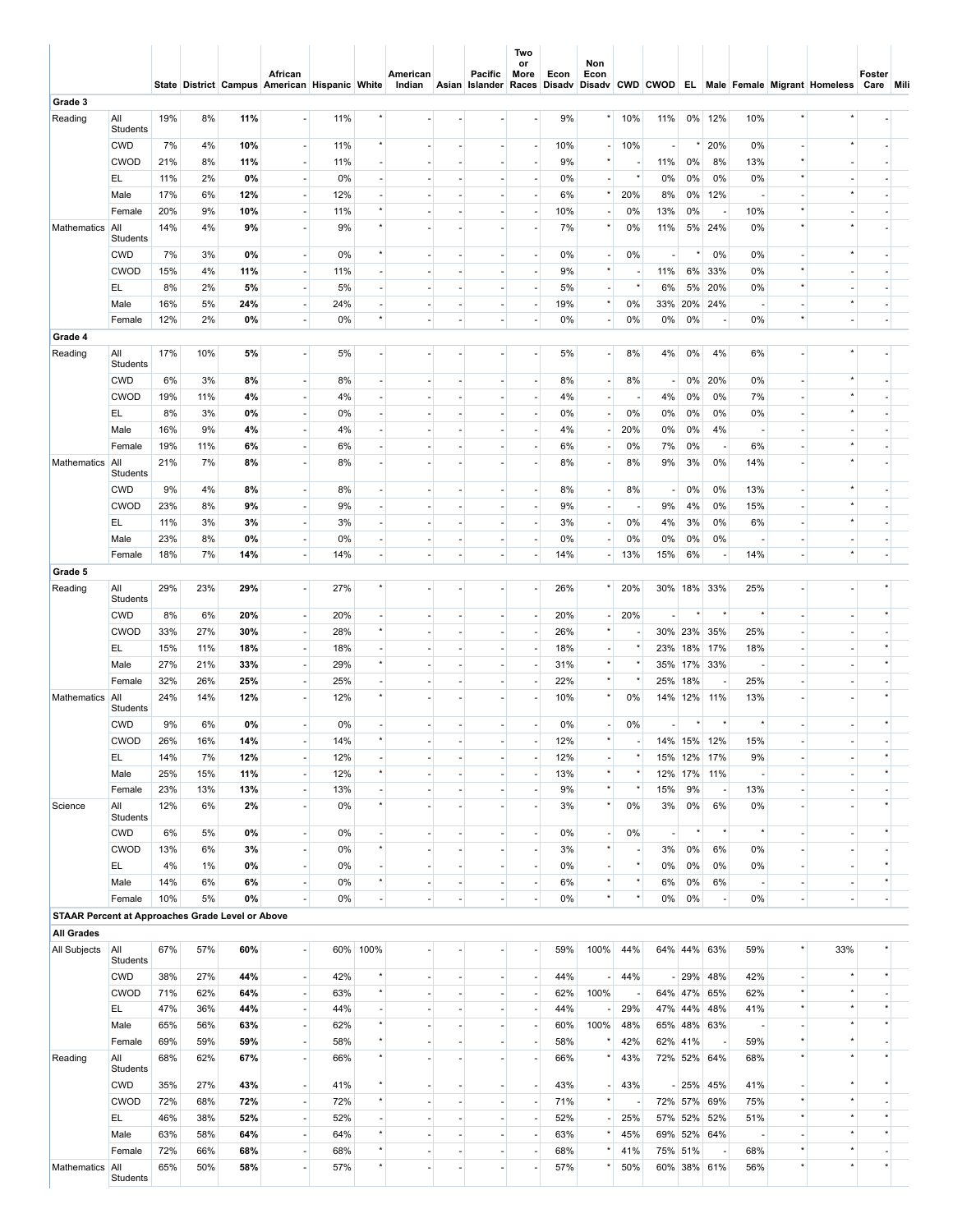|                                                  |                        |     |       |     | African<br>State District Campus American Hispanic White |     |                          | American<br>Indian |                          | Pacific<br>Asian Islander Races Disadv | Two<br>or<br>More        | Econ | Non<br>Econ              |          |                          |          |                          |         |                | Disadv CWD CWOD EL Male Female Migrant Homeless Care Mili | Foster                   |  |
|--------------------------------------------------|------------------------|-----|-------|-----|----------------------------------------------------------|-----|--------------------------|--------------------|--------------------------|----------------------------------------|--------------------------|------|--------------------------|----------|--------------------------|----------|--------------------------|---------|----------------|-----------------------------------------------------------|--------------------------|--|
| Grade 3                                          |                        |     |       |     |                                                          |     |                          |                    |                          |                                        |                          |      |                          |          |                          |          |                          |         |                |                                                           |                          |  |
| Reading                                          | All<br>Students        | 19% | 8%    | 11% | $\sim$                                                   | 11% |                          |                    |                          |                                        | ٠                        | 9%   |                          | 10%      | 11%                      |          | 0% 12%                   | 10%     |                |                                                           |                          |  |
|                                                  | <b>CWD</b>             | 7%  | 4%    | 10% | $\overline{\phantom{a}}$                                 | 11% | $\star$                  |                    |                          |                                        | $\overline{a}$           | 10%  |                          | 10%      | $\overline{\phantom{a}}$ | $^\star$ | 20%                      | 0%      |                |                                                           |                          |  |
|                                                  | <b>CWOD</b>            | 21% | 8%    | 11% | $\sim$                                                   | 11% |                          |                    |                          |                                        | ٠                        | 9%   |                          |          | 11%                      | 0%       | 8%                       | 13%     |                |                                                           |                          |  |
|                                                  | EL.                    | 11% | 2%    | 0%  | $\overline{\phantom{a}}$                                 | 0%  |                          |                    |                          |                                        | $\overline{a}$           | 0%   |                          |          | 0%                       | 0%       | 0%                       | 0%      |                |                                                           |                          |  |
|                                                  | Male                   | 17% | 6%    | 12% | ÷                                                        | 12% |                          |                    |                          |                                        | ٠                        | 6%   |                          | 20%      | 8%                       | 0%       | 12%                      |         |                |                                                           |                          |  |
|                                                  | Female                 | 20% | 9%    | 10% | $\overline{\phantom{a}}$                                 | 11% |                          |                    |                          |                                        |                          | 10%  |                          | 0%       | 13%                      | 0%       | $\overline{\phantom{a}}$ | 10%     |                |                                                           |                          |  |
| Mathematics                                      | All<br>Students        | 14% | 4%    | 9%  | $\sim$                                                   | 9%  |                          |                    |                          |                                        | ٠                        | 7%   |                          | 0%       | 11%                      |          | 5% 24%                   | 0%      |                |                                                           |                          |  |
|                                                  | <b>CWD</b>             | 7%  | 3%    | 0%  | $\overline{\phantom{a}}$                                 | 0%  | $^\star$                 |                    | $\overline{a}$           |                                        | $\overline{\phantom{a}}$ | 0%   | $\overline{\phantom{a}}$ | 0%       | $\sim$                   | $^\star$ | 0%                       | 0%      |                |                                                           |                          |  |
|                                                  | <b>CWOD</b>            | 15% | 4%    | 11% | $\overline{\phantom{a}}$                                 | 11% |                          |                    |                          |                                        | $\blacksquare$           | 9%   | $^\star$                 |          | 11%                      |          | 6% 33%                   | 0%      | $\star$        |                                                           |                          |  |
|                                                  | EL.                    | 8%  | 2%    | 5%  | $\overline{\phantom{a}}$                                 | 5%  | $\overline{\phantom{a}}$ |                    | $\sim$                   |                                        | $\overline{\phantom{a}}$ | 5%   | $\overline{\phantom{a}}$ | $\star$  | 6%                       | 5%       | 20%                      | 0%      |                |                                                           |                          |  |
|                                                  | Male                   | 16% | 5%    | 24% | $\overline{\phantom{a}}$                                 | 24% |                          |                    | ٠                        |                                        | $\overline{a}$           | 19%  | $\star$                  | 0%       |                          |          | 33% 20% 24%              |         |                | $\star$                                                   |                          |  |
|                                                  | Female                 | 12% | 2%    | 0%  | $\overline{\phantom{a}}$                                 | 0%  | $\star$                  |                    | ٠                        | ÷,                                     | $\overline{\phantom{a}}$ | 0%   | $\sim$                   | 0%       | 0%                       | 0%       | $\overline{\phantom{a}}$ | 0%      |                | $\sim$                                                    |                          |  |
| Grade 4                                          |                        |     |       |     |                                                          |     |                          |                    |                          |                                        |                          |      |                          |          |                          |          |                          |         |                |                                                           |                          |  |
| Reading                                          | All<br>Students        | 17% | 10%   | 5%  | $\mathcal{L}$                                            | 5%  |                          |                    |                          |                                        | ÷.                       | 5%   | $\sim$                   | 8%       | 4%                       | 0%       | 4%                       | 6%      |                |                                                           |                          |  |
|                                                  | <b>CWD</b>             | 6%  | 3%    | 8%  | $\overline{\phantom{a}}$                                 | 8%  | $\overline{\phantom{a}}$ |                    | $\overline{\phantom{a}}$ |                                        | $\overline{\phantom{a}}$ | 8%   | $\blacksquare$           | 8%       | ÷.                       | 0%       | 20%                      | 0%      |                |                                                           |                          |  |
|                                                  | <b>CWOD</b>            | 19% | 11%   | 4%  |                                                          | 4%  |                          |                    |                          |                                        | ÷,                       | 4%   |                          |          | 4%                       | 0%       | 0%                       | 7%      |                | $\star$                                                   |                          |  |
|                                                  | EL.                    | 8%  | 3%    | 0%  | $\overline{\phantom{a}}$                                 | 0%  | $\overline{a}$           |                    | ٠                        |                                        | $\overline{\phantom{a}}$ | 0%   | $\overline{\phantom{a}}$ | 0%       | 0%                       | 0%       | 0%                       | 0%      |                |                                                           |                          |  |
|                                                  | Male                   | 16% | 9%    | 4%  | $\overline{\phantom{a}}$                                 | 4%  |                          |                    |                          |                                        | $\blacksquare$           | 4%   | $\overline{\phantom{a}}$ | 20%      | 0%                       | 0%       | 4%                       |         |                |                                                           |                          |  |
|                                                  | Female                 | 19% | 11%   | 6%  | $\overline{\phantom{a}}$                                 | 6%  | $\sim$                   |                    | ٠                        |                                        | $\overline{\phantom{a}}$ | 6%   | $\overline{\phantom{a}}$ | 0%       | 7%                       | 0%       | $\overline{\phantom{a}}$ | 6%      |                |                                                           |                          |  |
| Mathematics                                      | All                    | 21% | 7%    | 8%  |                                                          | 8%  |                          |                    |                          |                                        | ٠                        | 8%   |                          | 8%       | 9%                       | 3%       | 0%                       | 14%     |                |                                                           |                          |  |
|                                                  | Students               |     |       |     |                                                          |     |                          |                    |                          |                                        |                          |      |                          |          |                          |          |                          |         |                |                                                           |                          |  |
|                                                  | <b>CWD</b>             | 9%  | 4%    | 8%  | ÷                                                        | 8%  | ×.                       |                    | ٠                        |                                        | ÷.                       | 8%   | $\sim$                   | 8%       | $\sim$                   | 0%       | 0%                       | 13%     |                | $\star$                                                   |                          |  |
|                                                  | <b>CWOD</b>            | 23% | 8%    | 9%  | $\overline{\phantom{a}}$                                 | 9%  | $\overline{\phantom{a}}$ |                    |                          |                                        | $\overline{\phantom{a}}$ | 9%   | $\overline{\phantom{a}}$ |          | 9%                       | 4%       | 0%                       | 15%     |                |                                                           |                          |  |
|                                                  | EL.                    | 11% | 3%    | 3%  | ÷                                                        | 3%  | $\sim$                   |                    | ٠                        |                                        | $\overline{\phantom{a}}$ | 3%   | $\blacksquare$           | 0%       | 4%                       | 3%       | 0%                       | 6%      |                |                                                           |                          |  |
|                                                  | Male                   | 23% | 8%    | 0%  | $\overline{\phantom{a}}$                                 | 0%  | $\overline{\phantom{a}}$ |                    | $\overline{a}$           | $\overline{\phantom{a}}$               | $\overline{\phantom{a}}$ | 0%   | $\overline{\phantom{a}}$ | 0%       | 0%                       | 0%       | 0%                       |         |                | $\overline{\phantom{a}}$                                  |                          |  |
|                                                  | Female                 | 18% | 7%    | 14% | $\overline{\phantom{a}}$                                 | 14% | ÷.                       |                    | ٠                        | ٠                                      | $\blacksquare$           | 14%  | $\tilde{\phantom{a}}$    | 13%      | 15%                      | 6%       | $\overline{\phantom{a}}$ | 14%     |                | $\star$                                                   | ä,                       |  |
| Grade 5                                          |                        |     |       |     |                                                          |     |                          |                    |                          |                                        |                          |      |                          |          |                          |          |                          |         |                |                                                           |                          |  |
| Reading                                          | All<br>Students        | 29% | 23%   | 29% | $\sim$                                                   | 27% | $\star$                  |                    |                          |                                        | ä,                       | 26%  |                          | 20%      |                          |          | 30% 18% 33%              | 25%     |                |                                                           |                          |  |
|                                                  | <b>CWD</b>             | 8%  | 6%    | 20% | $\overline{\phantom{a}}$                                 | 20% | $\overline{\phantom{a}}$ |                    |                          | $\sim$                                 | $\overline{\phantom{a}}$ | 20%  | $\blacksquare$           | 20%      | $\sim$                   |          | $^\star$                 |         |                |                                                           |                          |  |
|                                                  | <b>CWOD</b>            | 33% | 27%   | 30% | $\overline{\phantom{a}}$                                 | 28% | $^\star$                 |                    |                          |                                        | $\overline{\phantom{a}}$ | 26%  |                          |          |                          |          | 30% 23% 35%              | 25%     |                |                                                           |                          |  |
|                                                  | EL.                    | 15% | 11%   | 18% | $\overline{\phantom{a}}$                                 | 18% | $\sim$                   |                    |                          |                                        | ٠                        | 18%  | $\blacksquare$           |          |                          |          | 23% 18% 17%              | 18%     |                |                                                           |                          |  |
|                                                  | Male                   | 27% | 21%   | 33% | $\overline{\phantom{a}}$                                 | 29% | $^\star$                 |                    | ٠                        | $\overline{\phantom{a}}$               | $\overline{\phantom{a}}$ | 31%  |                          |          |                          |          | 35% 17% 33%              |         |                | ٠                                                         |                          |  |
|                                                  | Female                 | 32% | 26%   | 25% | ÷                                                        | 25% |                          |                    |                          |                                        | ٠                        | 22%  | $^\star$                 |          |                          | 25% 18%  | $\overline{\phantom{a}}$ | 25%     |                |                                                           |                          |  |
| Mathematics                                      | All<br>Students        | 24% | 14%   | 12% | $\sim$                                                   | 12% |                          |                    |                          |                                        |                          | 10%  |                          | 0%       |                          | 14% 12%  | 11%                      | 13%     |                |                                                           |                          |  |
|                                                  | <b>CWD</b>             | 9%  | 6%    | 0%  | $\sim$                                                   | 0%  |                          |                    | ٠                        |                                        | $\overline{a}$           | 0%   | $\overline{\phantom{a}}$ | 0%       |                          |          | $\star$                  |         |                | ÷                                                         |                          |  |
|                                                  | <b>CWOD</b>            | 26% | 16%   | 14% |                                                          | 14% | $\star$                  |                    |                          |                                        |                          | 12%  | $\star$                  |          |                          | 14% 15%  | 12%                      | 15%     |                |                                                           |                          |  |
|                                                  | EL.                    | 14% | 7%    | 12% | $\overline{\phantom{a}}$                                 | 12% |                          |                    |                          |                                        | $\overline{\phantom{a}}$ | 12%  |                          |          |                          |          | 15% 12% 17%              | 9%      |                |                                                           |                          |  |
|                                                  | Male                   | 25% | 15%   | 11% | ÷.                                                       | 12% | $^\star$                 |                    |                          |                                        | $\sim$                   | 13%  | $^\star$                 |          |                          | 12% 17%  | 11%                      |         |                | $\overline{\phantom{a}}$                                  |                          |  |
|                                                  | Female                 | 23% | 13%   | 13% | $\overline{\phantom{a}}$                                 | 13% |                          |                    |                          |                                        | $\overline{\phantom{a}}$ | 9%   | $\star$                  |          | 15%                      | 9%       | $\overline{\phantom{a}}$ | 13%     |                |                                                           |                          |  |
| Science                                          | All<br>Students        | 12% | 6%    | 2%  | $\mathcal{L}$                                            | 0%  | $^\star$                 |                    |                          |                                        | ٠                        | 3%   | $\star$                  | 0%       | 3%                       | 0%       | 6%                       | 0%      |                |                                                           |                          |  |
|                                                  | <b>CWD</b>             | 6%  | 5%    | 0%  | $\overline{\phantom{a}}$                                 | 0%  | $\overline{\phantom{a}}$ | $\sim$             | $\blacksquare$           | $\blacksquare$                         | $\overline{\phantom{a}}$ | 0%   | $\overline{\phantom{a}}$ | 0%       | $\overline{\phantom{a}}$ | $\star$  | $^\star$                 | $\star$ | $\sim$         | $\sim$                                                    |                          |  |
|                                                  | <b>CWOD</b>            | 13% | 6%    | 3%  | $\overline{\phantom{a}}$                                 | 0%  | $^\star$                 |                    |                          |                                        | $\sim$                   | 3%   | $\star$                  |          | 3%                       | 0%       | 6%                       | 0%      |                |                                                           |                          |  |
|                                                  | EL.                    | 4%  | $1\%$ | 0%  | $\overline{\phantom{a}}$                                 | 0%  | $\blacksquare$           | $\sim$             | $\sim$                   | ÷.                                     | $\overline{\phantom{a}}$ | 0%   | $\overline{\phantom{a}}$ | $^\star$ | 0%                       | 0%       | 0%                       | 0%      |                | ÷.                                                        |                          |  |
|                                                  | Male                   | 14% | 6%    | 6%  | $\blacksquare$                                           | 0%  | $^\star$                 |                    | ٠                        |                                        | $\overline{\phantom{a}}$ | 6%   | $\star$                  | $^\star$ | 6%                       | 0%       | 6%                       |         |                | ÷,                                                        | $\star$                  |  |
|                                                  | Female                 | 10% | 5%    | 0%  | $\overline{\phantom{a}}$                                 | 0%  | $\overline{\phantom{a}}$ | $\blacksquare$     | ٠                        | $\blacksquare$                         | $\overline{\phantom{a}}$ | 0%   | $\star$                  |          | $0\%$                    | 0%       | $\overline{\phantom{a}}$ | 0%      | $\blacksquare$ | $\blacksquare$                                            | $\overline{\phantom{a}}$ |  |
| STAAR Percent at Approaches Grade Level or Above |                        |     |       |     |                                                          |     |                          |                    |                          |                                        |                          |      |                          |          |                          |          |                          |         |                |                                                           |                          |  |
| <b>All Grades</b>                                |                        |     |       |     |                                                          |     |                          |                    |                          |                                        |                          |      |                          |          |                          |          |                          |         |                |                                                           |                          |  |
| All Subjects                                     | All<br>Students        | 67% | 57%   | 60% | $\overline{\phantom{a}}$                                 |     | 60% 100%                 |                    |                          |                                        | ٠                        | 59%  | 100%                     | 44%      |                          |          | 64% 44% 63%              | 59%     |                | 33%                                                       |                          |  |
|                                                  | <b>CWD</b>             | 38% | 27%   | 44% | $\overline{\phantom{a}}$                                 | 42% | $^\star$                 |                    |                          |                                        | $\overline{\phantom{a}}$ | 44%  |                          | 44%      |                          |          | $-29\%$ 48%              | 42%     |                | $\star$                                                   |                          |  |
|                                                  | <b>CWOD</b>            | 71% | 62%   | 64% | $\mathcal{L}$                                            | 63% | $\star$                  |                    | ٠                        | ä,                                     | ÷.                       | 62%  | 100%                     |          |                          |          | 64% 47% 65%              | 62%     |                | $\star$                                                   |                          |  |
|                                                  | EL.                    | 47% | 36%   | 44% | $\overline{\phantom{a}}$                                 | 44% | ÷,                       |                    | ٠                        |                                        | $\overline{\phantom{a}}$ | 44%  |                          | 29%      |                          |          | 47% 44% 48%              | 41%     |                |                                                           |                          |  |
|                                                  | Male                   | 65% | 56%   | 63% | $\mathcal{L}$                                            | 62% | $^\star$                 |                    |                          |                                        | $\overline{\phantom{a}}$ | 60%  | 100%                     | 48%      |                          |          | 65% 48% 63%              |         |                | $\star$                                                   |                          |  |
|                                                  | Female                 | 69% | 59%   | 59% | $\blacksquare$                                           | 58% | $\star$                  |                    | ٠                        |                                        | $\overline{\phantom{a}}$ | 58%  |                          | 42%      |                          | 62% 41%  | $\overline{\phantom{a}}$ | 59%     |                | $\star$                                                   |                          |  |
| Reading                                          | All                    | 68% | 62%   | 67% | $\mathcal{L}$                                            | 66% | $\star$                  |                    |                          |                                        | ٠                        | 66%  |                          | 43%      |                          |          | 72% 52% 64%              | 68%     |                | $\star$                                                   |                          |  |
|                                                  | Students<br><b>CWD</b> | 35% | 27%   | 43% | $\overline{\phantom{a}}$                                 | 41% | $^\star$                 | $\blacksquare$     | ٠                        | $\overline{\phantom{a}}$               | $\overline{\phantom{a}}$ | 43%  | $\overline{\phantom{a}}$ | 43%      |                          |          | - 25% 45%                | 41%     |                | $\star$                                                   |                          |  |
|                                                  | <b>CWOD</b>            | 72% | 68%   | 72% | $\overline{\phantom{a}}$                                 | 72% | $\star$                  | ÷,                 |                          | $\sim$                                 | $\Box$                   | 71%  | $\star$                  |          |                          |          | 72% 57% 69%              | 75%     | $\star$        | $\star$                                                   |                          |  |
|                                                  | EL.                    | 46% | 38%   | 52% | $\overline{\phantom{a}}$                                 | 52% | $\overline{\phantom{a}}$ | $\sim$             | ٠                        | $\overline{\phantom{a}}$               | $\overline{\phantom{a}}$ | 52%  | $\overline{\phantom{a}}$ | 25%      |                          |          | 57% 52% 52%              | 51%     | $\star$        | $\star$                                                   |                          |  |
|                                                  | Male                   | 63% | 58%   | 64% | $\blacksquare$                                           | 64% | $^\star$                 |                    |                          |                                        | $\overline{\phantom{a}}$ | 63%  | $^\star$                 | 45%      |                          |          | 69% 52% 64%              |         |                | $\star$                                                   | $^\star$                 |  |
|                                                  | Female                 | 72% | 66%   | 68% | $\overline{\phantom{a}}$                                 | 68% | $^\star$                 | $\sim$             | ٠                        | $\overline{\phantom{a}}$               | $\overline{\phantom{a}}$ | 68%  | $\star$                  | 41%      |                          | 75% 51%  | $\overline{\phantom{a}}$ | 68%     |                | $\star$                                                   |                          |  |
| Mathematics All                                  |                        | 65% | 50%   | 58% | $\overline{\phantom{a}}$                                 | 57% | $\star$                  |                    |                          |                                        | ٠                        | 57%  |                          | 50%      |                          |          | 60% 38% 61%              | 56%     |                | $\star$                                                   | $\star$                  |  |
|                                                  | Students               |     |       |     |                                                          |     |                          |                    |                          |                                        |                          |      |                          |          |                          |          |                          |         |                |                                                           |                          |  |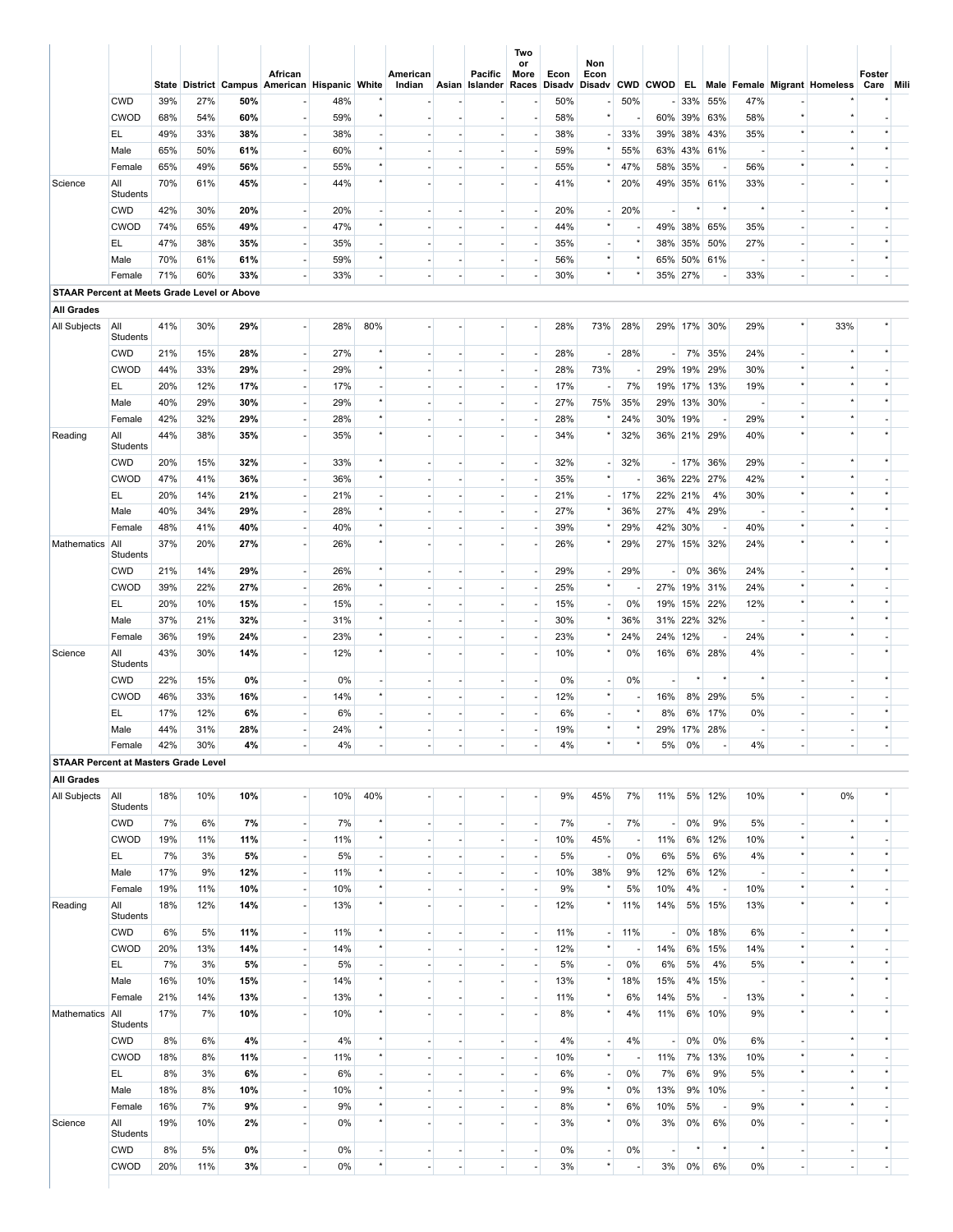|                                             |                           |            |            |           | African<br>State District Campus American Hispanic White |           |                          | American<br>Indian       |                          | <b>Pacific</b><br>Asian Islander | Two<br>or<br>More<br>Races | Econ<br>Disadv | Non<br>Econ<br>Disadv                |     |                          |             |                          |       |                | CWD CWOD EL Male Female Migrant Homeless | Foster<br>Care Mili      |  |
|---------------------------------------------|---------------------------|------------|------------|-----------|----------------------------------------------------------|-----------|--------------------------|--------------------------|--------------------------|----------------------------------|----------------------------|----------------|--------------------------------------|-----|--------------------------|-------------|--------------------------|-------|----------------|------------------------------------------|--------------------------|--|
|                                             | <b>CWD</b>                | 39%        | 27%        | 50%       |                                                          | 48%       |                          |                          |                          |                                  | ٠                          | 50%            |                                      | 50% |                          | - 33% 55%   |                          | 47%   |                |                                          |                          |  |
|                                             | <b>CWOD</b>               | 68%        | 54%        | 60%       | $\sim$                                                   | 59%       | $\star$                  |                          |                          |                                  | $\sim$                     | 58%            | $\star$                              |     |                          | 60% 39% 63% |                          | 58%   |                |                                          |                          |  |
|                                             | EL.                       | 49%        | 33%        | 38%       | $\overline{\phantom{a}}$                                 | 38%       |                          |                          |                          |                                  | ٠                          | 38%            |                                      | 33% |                          | 39% 38% 43% |                          | 35%   |                |                                          |                          |  |
|                                             | Male                      | 65%        | 50%        | 61%       | ٠                                                        | 60%       | $\star$                  |                          |                          |                                  | ٠                          | 59%            |                                      | 55% |                          | 63% 43% 61% |                          |       |                |                                          |                          |  |
|                                             | Female                    | 65%        | 49%        | 56%       | ÷.                                                       | 55%       | $\star$                  |                          |                          |                                  | ٠                          | 55%            | $^{\star}$                           | 47% |                          | 58% 35%     | ÷,                       | 56%   |                |                                          |                          |  |
| Science                                     | All                       | 70%        | 61%        | 45%       | $\sim$                                                   | 44%       | $\star$                  |                          |                          |                                  |                            | 41%            |                                      | 20% |                          | 49% 35% 61% |                          | 33%   |                |                                          |                          |  |
|                                             | Students                  |            |            |           |                                                          |           |                          |                          |                          |                                  |                            |                |                                      |     |                          |             |                          |       |                |                                          |                          |  |
|                                             | <b>CWD</b>                | 42%        | 30%        | 20%       | $\overline{\phantom{a}}$                                 | 20%       | $\sim$                   |                          |                          |                                  | ٠                          | 20%            | $\overline{\phantom{a}}$             | 20% |                          | $\star$     | $^\star$                 |       |                |                                          |                          |  |
|                                             | <b>CWOD</b>               | 74%        | 65%        | 49%       | ×.                                                       | 47%       | $^\star$                 | ٠                        | $\sim$                   | ×.                               | ÷.                         | 44%            | $\star$                              |     |                          | 49% 38% 65% |                          | 35%   | ÷,             |                                          |                          |  |
|                                             | EL.                       | 47%        | 38%        | 35%       | ٠                                                        | 35%       |                          |                          |                          | $\sim$                           | ٠                          | 35%            | $\overline{\phantom{m}}$             |     |                          | 38% 35% 50% |                          | 27%   |                |                                          |                          |  |
|                                             | Male                      | 70%        | 61%        | 61%       | н.                                                       | 59%       | $^\star$                 | ٠                        | ×.                       | ×.                               | $\sim$                     | 56%            | $^{\star}$                           |     |                          | 65% 50% 61% |                          |       |                | $\overline{a}$                           |                          |  |
|                                             | Female                    | 71%        | 60%        | 33%       |                                                          | 33%       | $\sim$                   | ٠                        |                          |                                  |                            | 30%            | $\star$                              |     |                          | 35% 27%     | $\overline{\phantom{a}}$ | 33%   |                | $\overline{\phantom{a}}$                 |                          |  |
| STAAR Percent at Meets Grade Level or Above |                           |            |            |           |                                                          |           |                          |                          |                          |                                  |                            |                |                                      |     |                          |             |                          |       |                |                                          |                          |  |
| <b>All Grades</b>                           |                           |            |            |           |                                                          |           |                          |                          |                          |                                  |                            |                |                                      |     |                          |             |                          |       |                |                                          |                          |  |
| All Subjects                                | All<br>Students           | 41%        | 30%        | 29%       | $\blacksquare$                                           | 28%       | 80%                      |                          |                          |                                  | $\blacksquare$             | 28%            | 73%                                  | 28% |                          | 29% 17% 30% |                          | 29%   |                | 33%                                      |                          |  |
|                                             | <b>CWD</b>                | 21%        | 15%        | 28%       | ×.                                                       | 27%       |                          |                          |                          | $\sim$                           | ٠                          | 28%            |                                      | 28% |                          | - 7% 35%    |                          | 24%   |                |                                          |                          |  |
|                                             | <b>CWOD</b>               | 44%        | 33%        | 29%       | ٠                                                        | 29%       | $\star$                  |                          |                          |                                  | ٠                          | 28%            | 73%                                  |     |                          | 29% 19% 29% |                          | 30%   |                |                                          |                          |  |
|                                             | EL.                       | 20%        | 12%        | 17%       | ×.                                                       | 17%       | $\sim$                   |                          |                          |                                  | ٠                          | 17%            |                                      | 7%  |                          | 19% 17% 13% |                          | 19%   |                |                                          |                          |  |
|                                             | Male                      | 40%        | 29%        | 30%       | ٠                                                        | 29%       | $\star$                  |                          |                          |                                  | ٠                          | 27%            | 75%                                  | 35% |                          | 29% 13% 30% |                          |       |                |                                          |                          |  |
|                                             | Female                    | 42%        | 32%        | 29%       | ×.                                                       | 28%       | $\star$                  |                          |                          |                                  | ÷.                         | 28%            |                                      | 24% |                          | 30% 19%     | $\overline{\phantom{a}}$ | 29%   |                |                                          |                          |  |
| Reading                                     | All<br>Students           | 44%        | 38%        | 35%       | $\sim$                                                   | 35%       | $\star$                  |                          |                          |                                  | ٠                          | 34%            |                                      | 32% |                          | 36% 21% 29% |                          | 40%   |                |                                          |                          |  |
|                                             | <b>CWD</b>                | 20%        | 15%        | 32%       | $\overline{\phantom{a}}$                                 | 33%       | $^\star$                 |                          |                          |                                  | ٠                          | 32%            | $\overline{\phantom{a}}$             | 32% |                          | - 17% 36%   |                          | 29%   |                |                                          |                          |  |
|                                             | <b>CWOD</b>               | 47%        | 41%        | 36%       | $\sim$                                                   | 36%       | $^\star$                 | ٠                        | ٠                        | ×.                               | ÷.                         | 35%            | $\star$                              |     |                          | 36% 22% 27% |                          | 42%   |                |                                          |                          |  |
|                                             | EL.                       | 20%        | 14%        | 21%       | $\overline{\phantom{a}}$                                 | 21%       | $\sim$                   | ٠                        | $\sim$                   | ×.                               | $\sim$                     | 21%            | $\overline{\phantom{a}}$             | 17% |                          | 22% 21%     | 4%                       | 30%   | $\star$        |                                          |                          |  |
|                                             | Male                      | 40%        | 34%        | 29%       | ×.                                                       | 28%       | $^\star$                 |                          | ٠                        | $\sim$                           | $\overline{\phantom{a}}$   | 27%            | $\star$                              | 36% | 27%                      |             | 4% 29%                   |       |                | $\star$                                  |                          |  |
|                                             | Female                    | 48%        | 41%        | 40%       | $\sim$                                                   | 40%       | $^\star$                 |                          |                          | $\sim$                           | ٠                          | 39%            | $^{\star}$                           | 29% |                          | 42% 30%     | $\overline{\phantom{a}}$ | 40%   | $\star$        | $\star$                                  |                          |  |
| Mathematics                                 | All<br>Students           | 37%        | 20%        | 27%       | ÷.                                                       | 26%       |                          |                          |                          |                                  |                            | 26%            |                                      | 29% |                          | 27% 15% 32% |                          | 24%   |                |                                          |                          |  |
|                                             | <b>CWD</b>                | 21%        | 14%        | 29%       | ٠                                                        | 26%       | $\star$                  |                          | $\overline{\phantom{a}}$ | $\overline{\phantom{a}}$         | ٠                          | 29%            | $\overline{\phantom{a}}$             | 29% | ÷.                       |             | 0% 36%                   | 24%   |                |                                          |                          |  |
|                                             | <b>CWOD</b>               | 39%        | 22%        | 27%       | $\overline{\phantom{a}}$                                 | 26%       | $^\star$                 |                          |                          |                                  | $\overline{\phantom{a}}$   | 25%            | $\star$                              |     |                          | 27% 19% 31% |                          | 24%   |                |                                          |                          |  |
|                                             | EL.                       | 20%        | 10%        | 15%       | $\overline{\phantom{a}}$                                 | 15%       | $\overline{\phantom{a}}$ |                          | $\overline{\phantom{a}}$ | $\overline{\phantom{a}}$         | $\overline{\phantom{a}}$   | 15%            | $\overline{\phantom{a}}$             | 0%  |                          | 19% 15% 22% |                          | 12%   |                |                                          |                          |  |
|                                             | Male                      | 37%        | 21%        | 32%       | $\overline{\phantom{a}}$                                 | 31%       | $^\star$                 |                          |                          |                                  |                            | 30%            | $\star$                              | 36% |                          | 31% 22% 32% |                          |       |                |                                          |                          |  |
|                                             | Female                    | 36%        | 19%        | 24%       | ٠                                                        | 23%       |                          |                          | $\overline{\phantom{a}}$ | $\overline{\phantom{a}}$         | $\overline{\phantom{a}}$   | 23%            |                                      | 24% |                          | 24% 12%     | $\overline{\phantom{a}}$ | 24%   |                |                                          |                          |  |
| Science                                     | All<br>Students           | 43%        | 30%        | 14%       | ÷,                                                       | 12%       |                          |                          |                          |                                  | ٠                          | 10%            |                                      | 0%  | 16%                      |             | 6% 28%                   | 4%    |                |                                          |                          |  |
|                                             | <b>CWD</b><br><b>CWOD</b> | 22%<br>46% | 15%<br>33% | 0%<br>16% | $\sim$<br>$\overline{\phantom{a}}$                       | 0%<br>14% |                          |                          |                          |                                  | ٠                          | 0%<br>12%      | $\overline{\phantom{a}}$<br>$^\star$ | 0%  | $\sim$<br>16%            | $^\star$    | $^\star$<br>8% 29%       | 5%    |                |                                          |                          |  |
|                                             | EL.                       | 17%        | 12%        | 6%        |                                                          | 6%        |                          |                          |                          |                                  |                            | 6%             |                                      |     | 8%                       | 6%          | 17%                      | 0%    |                |                                          |                          |  |
|                                             | Male                      | 44%        | 31%        | 28%       | $\overline{\phantom{a}}$                                 | 24%       |                          |                          |                          |                                  | ٠                          | 19%            | $^\star$                             |     |                          | 29% 17% 28% |                          |       |                |                                          |                          |  |
|                                             | Female                    | 42%        | 30%        | 4%        |                                                          | 4%        |                          | $\overline{\phantom{a}}$ | ٠                        | $\overline{\phantom{a}}$         |                            | 4%             |                                      |     | 5%                       | 0%          |                          | $4\%$ |                | $\overline{\phantom{a}}$                 | $\overline{\phantom{a}}$ |  |
| <b>STAAR Percent at Masters Grade Level</b> |                           |            |            |           |                                                          |           |                          |                          |                          |                                  |                            |                |                                      |     |                          |             |                          |       |                |                                          |                          |  |
| <b>All Grades</b>                           |                           |            |            |           |                                                          |           |                          |                          |                          |                                  |                            |                |                                      |     |                          |             |                          |       |                |                                          |                          |  |
| All Subjects                                | All<br>Students           | 18%        | 10%        | 10%       | ÷.                                                       | 10%       | 40%                      |                          |                          |                                  | $\sim$                     | 9%             | 45%                                  | 7%  | 11%                      |             | 5% 12%                   | 10%   |                | 0%                                       |                          |  |
|                                             | <b>CWD</b>                | 7%         | 6%         | 7%        | $\overline{\phantom{a}}$                                 | 7%        | $\star$                  | $\frac{1}{2}$            | $\overline{\phantom{a}}$ | $\overline{\phantom{a}}$         | $\sim$                     | 7%             | $\overline{\phantom{a}}$             | 7%  | ٠                        | 0%          | 9%                       | 5%    |                | $\star$                                  |                          |  |
|                                             | CWOD                      | 19%        | 11%        | 11%       | $\overline{\phantom{a}}$                                 | 11%       | $^\star$                 | ÷,                       | $\blacksquare$           | $\overline{\phantom{a}}$         | $\overline{\phantom{a}}$   | 10%            | 45%                                  |     | 11%                      |             | 6% 12%                   | 10%   |                | $\star$                                  |                          |  |
|                                             | EL.                       | 7%         | 3%         | 5%        | $\overline{\phantom{a}}$                                 | 5%        | $\overline{\phantom{a}}$ |                          | $\overline{\phantom{a}}$ | $\overline{\phantom{a}}$         | $\sim$                     | 5%             | $\overline{\phantom{a}}$             | 0%  | 6%                       | 5%          | 6%                       | 4%    |                | $\star$                                  |                          |  |
|                                             | Male                      | 17%        | 9%         | 12%       | $\overline{\phantom{a}}$                                 | 11%       | $^\star$                 |                          | $\sim$                   |                                  | ٠                          | 10%            | 38%                                  | 9%  | 12%                      |             | 6% 12%                   |       |                | $\star$                                  |                          |  |
|                                             | Female                    | 19%        | 11%        | 10%       | ٠                                                        | 10%       | $^\star$                 | $\frac{1}{2}$            | $\overline{\phantom{a}}$ | $\overline{\phantom{a}}$         | ٠                          | 9%             |                                      | 5%  | 10%                      | 4%          | $\overline{\phantom{a}}$ | 10%   |                |                                          |                          |  |
| Reading                                     | All<br>Students           | 18%        | 12%        | 14%       | $\overline{\phantom{a}}$                                 | 13%       | $^\star$                 |                          |                          |                                  | $\blacksquare$             | 12%            | $\star$                              | 11% | 14%                      |             | 5% 15%                   | 13%   |                |                                          |                          |  |
|                                             | <b>CWD</b>                | 6%         | 5%         | 11%       | $\overline{\phantom{a}}$                                 | 11%       | $^\star$                 |                          | ×.                       | $\sim$                           | $\sim$                     | 11%            | $\overline{\phantom{a}}$             | 11% | $\overline{\phantom{a}}$ |             | 0% 18%                   | 6%    |                | $\star$                                  |                          |  |
|                                             | <b>CWOD</b>               | 20%        | 13%        | 14%       | $\overline{\phantom{a}}$                                 | 14%       | $^\star$                 |                          |                          |                                  | ٠                          | 12%            | $^\star$                             |     | 14%                      |             | 6% 15%                   | 14%   |                | $\star$                                  |                          |  |
|                                             | EL.                       | 7%         | 3%         | 5%        | $\overline{\phantom{a}}$                                 | 5%        | $\sim$                   |                          |                          |                                  | ٠                          | 5%             | $\overline{a}$                       | 0%  | 6%                       | 5%          | 4%                       | 5%    |                | $\star$                                  |                          |  |
|                                             | Male                      | 16%        | 10%        | 15%       | ٠                                                        | 14%       | $^\star$                 |                          | $\overline{\phantom{a}}$ | $\sim$                           | ٠                          | 13%            | $^\star$                             | 18% | 15%                      |             | 4% 15%                   |       |                |                                          |                          |  |
|                                             | Female                    | 21%        | 14%        | 13%       | $\overline{\phantom{a}}$                                 | 13%       | $^\star$                 |                          |                          |                                  | ٠                          | 11%            | $^\star$                             | 6%  | 14%                      | 5%          | $\overline{\phantom{a}}$ | 13%   |                | $\star$                                  |                          |  |
| Mathematics                                 | All<br>Students           | 17%        | 7%         | 10%       | $\overline{\phantom{a}}$                                 | 10%       | $\star$                  |                          | ٠                        | ٠                                | ٠                          | 8%             | $\star$                              | 4%  | 11%                      |             | 6% 10%                   | 9%    |                | $\star$                                  |                          |  |
|                                             | <b>CWD</b>                | 8%         | 6%         | 4%        | $\overline{\phantom{a}}$                                 | 4%        | $^\star$                 |                          | $\sim$                   | $\overline{\phantom{a}}$         | ٠                          | 4%             | $\overline{\phantom{a}}$             | 4%  | $\overline{\phantom{a}}$ | 0%          | 0%                       | 6%    |                | $\star$                                  |                          |  |
|                                             | <b>CWOD</b>               | 18%        | 8%         | 11%       | $\overline{\phantom{a}}$                                 | 11%       | $^\star$                 | ٠                        | ٠                        | $\sim$                           | ٠                          | 10%            | $^\star$                             |     | 11%                      |             | 7% 13%                   | 10%   | $^{\star}$     | $\star$                                  |                          |  |
|                                             | EL.                       | 8%         | 3%         | 6%        | $\overline{\phantom{a}}$                                 | 6%        | $\sim$                   | ä,                       |                          | $\sim$                           | $\overline{\phantom{a}}$   | 6%             | $\overline{\phantom{a}}$             | 0%  | 7%                       | 6%          | 9%                       | 5%    |                | $^\star$                                 |                          |  |
|                                             | Male                      | 18%        | 8%         | 10%       | $\overline{\phantom{a}}$                                 | 10%       | $^\star$                 |                          | ٠                        | $\sim$                           | $\overline{\phantom{a}}$   | 9%             | $\star$                              | 0%  | 13%                      |             | 9% 10%                   |       |                | $\star$                                  |                          |  |
|                                             | Female                    | 16%        | 7%         | 9%        | $\overline{\phantom{a}}$                                 | 9%        | $^\star$                 | ä,                       |                          |                                  | ٠                          | 8%             | $^\star$                             | 6%  | 10%                      | 5%          | $\overline{\phantom{a}}$ | 9%    | $\star$        | $^\star$                                 |                          |  |
| Science                                     | All<br>Students           | 19%        | 10%        | 2%        | $\sim$                                                   | 0%        |                          |                          |                          |                                  | ÷.                         | 3%             | $^\star$                             | 0%  | 3%                       | $0\%$       | 6%                       | 0%    |                |                                          |                          |  |
|                                             | <b>CWD</b>                | 8%         | 5%         | 0%        | $\overline{\phantom{a}}$                                 | 0%        | $\overline{\phantom{a}}$ | $\overline{a}$           | $\overline{\phantom{a}}$ | $\overline{\phantom{a}}$         | $\overline{\phantom{a}}$   | 0%             | $\overline{\phantom{a}}$             | 0%  | ÷,                       |             | ×                        |       | $\overline{a}$ | $\overline{\phantom{a}}$                 |                          |  |
|                                             | <b>CWOD</b>               | 20%        | 11%        | 3%        | $\overline{\phantom{a}}$                                 | 0%        | $^\star$                 |                          |                          |                                  | $\overline{\phantom{a}}$   | 3%             | $\star$                              |     | 3%                       | 0%          | 6%                       | $0\%$ |                |                                          |                          |  |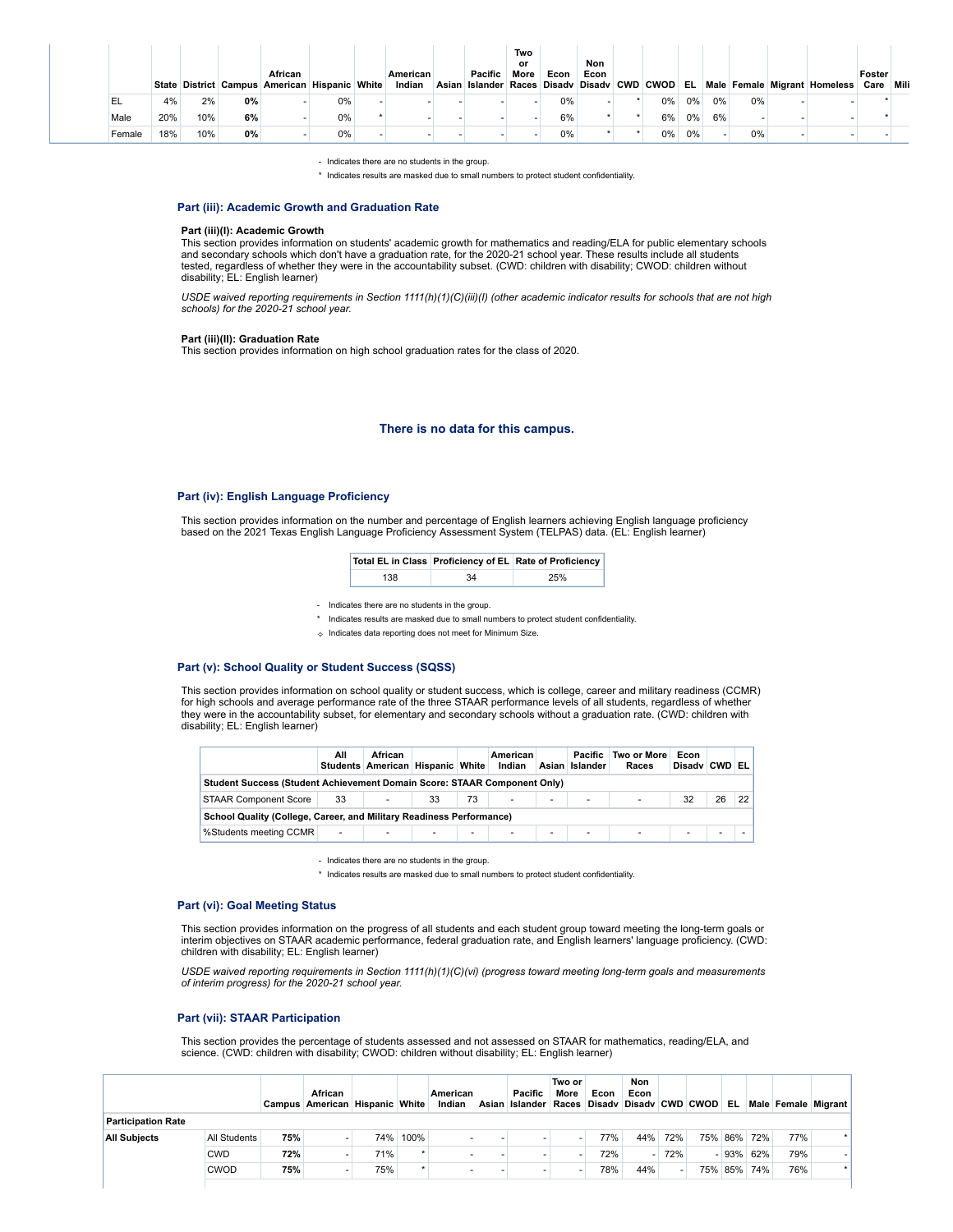|        |     |     |    | African<br>State District Campus American Hispanic White |       | American<br>Indian | Pacific | Two<br>or<br>More | Econ  | Non<br>Econ |       |    |    |    | Asian Islander Races Disady Disady CWD CWOD EL Male Female Migrant Homeless | Foster<br>Care Mili |  |
|--------|-----|-----|----|----------------------------------------------------------|-------|--------------------|---------|-------------------|-------|-------------|-------|----|----|----|-----------------------------------------------------------------------------|---------------------|--|
| ᄔ      | 4%  | 2%  | 0% |                                                          | 0%    |                    |         |                   | $0\%$ |             | $0\%$ | 0% | 0% | 0% |                                                                             |                     |  |
| Male   | 20% | 10% | 6% |                                                          | $0\%$ |                    |         |                   | 6%    |             | 6%    | 0% | 6% |    |                                                                             |                     |  |
| Female | 18% | 10% | 0% |                                                          | 0%    |                    |         |                   | 0%    |             | 0%    | 0% |    | 0% |                                                                             |                     |  |

- Indicates there are no students in the group.

\* Indicates results are masked due to small numbers to protect student confidentiality.

## **Part (iii): Academic Growth and Graduation Rate**

#### **Part (iii)(I): Academic Growth**

This section provides information on students' academic growth for mathematics and reading/ELA for public elementary schools and secondary schools which don't have a graduation rate, for the 2020-21 school year. These results include all students tested, regardless of whether they were in the accountability subset. (CWD: children with disability; CWOD: children without disability; EL: English learner)

USDE waived reporting requirements in Section 1111(h)(1)(C)(iii)(l) (other academic indicator results for schools that are not high<br>schools) for the 2020-21 school year.

#### **Part (iii)(II): Graduation Rate**

This section provides information on high school graduation rates for the class of 2020.

## **There is no data for this campus.**

### **Part (iv): English Language Proficiency**

This section provides information on the number and percentage of English learners achieving English language proficiency based on the 2021 Texas English Language Proficiency Assessment System (TELPAS) data. (EL: English learner)

|     |    | Total EL in Class Proficiency of EL Rate of Proficiency |
|-----|----|---------------------------------------------------------|
| 138 | 34 | 25%                                                     |

- Indicates there are no students in the group.

- \* Indicates results are masked due to small numbers to protect student confidentiality.
- ✧ Indicates data reporting does not meet for Minimum Size.

### **Part (v): School Quality or Student Success (SQSS)**

This section provides information on school quality or student success, which is college, career and military readiness (CCMR) for high schools and average performance rate of the three STAAR performance levels of all students, regardless of whether they were in the accountability subset, for elementary and secondary schools without a graduation rate. (CWD: children with disability; EL: English learner)

|                                                                          | All    | African<br>Students American Hispanic White |    |        | American<br>Indian |   | Pacific<br>Asian Islander | Two or More<br>Races | Econ<br>Disady CWD EL |    |    |
|--------------------------------------------------------------------------|--------|---------------------------------------------|----|--------|--------------------|---|---------------------------|----------------------|-----------------------|----|----|
| Student Success (Student Achievement Domain Score: STAAR Component Only) |        |                                             |    |        |                    |   |                           |                      |                       |    |    |
| <b>STAAR Component Score</b>                                             | 33     | ٠                                           | 33 | 73     | ٠                  | ٠ | $\overline{\phantom{a}}$  | ٠                    | 32                    | 26 | 22 |
| School Quality (College, Career, and Military Readiness Performance)     |        |                                             |    |        |                    |   |                           |                      |                       |    |    |
| %Students meeting CCMR                                                   | $\sim$ | $\overline{\phantom{a}}$                    | ۰. | $\sim$ | ٠                  | ٠ | $\overline{\phantom{a}}$  | <b>Service</b>       | ۰.                    |    |    |

- Indicates there are no students in the group.

\* Indicates results are masked due to small numbers to protect student confidentiality.

#### **Part (vi): Goal Meeting Status**

This section provides information on the progress of all students and each student group toward meeting the long-term goals or interim objectives on STAAR academic performance, federal graduation rate, and English learners' language proficiency. (CWD: children with disability; EL: English learner)

*USDE waived reporting requirements in Section 1111(h)(1)(C)(vi) (progress toward meeting long-term goals and measurements of interim progress) for the 2020-21 school year.*

### **Part (vii): STAAR Participation**

This section provides the percentage of students assessed and not assessed on STAAR for mathematics, reading/ELA, and science. (CWD: children with disability; CWOD: children without disability; EL: English learner)

|                           |              |     | African<br>Campus American Hispanic White |     |          | American<br>Indian | Pacific<br>Asian Islander Races Disady Disady CWD CWOD EL | Two or<br>More | Econ | <b>Non</b><br>Econ |     |         |             |     | Male Female Migrant |
|---------------------------|--------------|-----|-------------------------------------------|-----|----------|--------------------|-----------------------------------------------------------|----------------|------|--------------------|-----|---------|-------------|-----|---------------------|
| <b>Participation Rate</b> |              |     |                                           |     |          |                    |                                                           |                |      |                    |     |         |             |     |                     |
| <b>All Subjects</b>       | All Students | 75% |                                           |     | 74% 100% |                    |                                                           |                | 77%  | 44%                | 72% |         | 75% 86% 72% | 77% |                     |
|                           | CWD.         | 72% |                                           | 71% |          |                    |                                                           |                | 72%  | A.                 | 72% | $-93%$  | 62%         | 79% |                     |
|                           | <b>CWOD</b>  | 75% |                                           | 75% | ۰        |                    |                                                           |                | 78%  | 44%                |     | 75% 85% | 74%         | 76% |                     |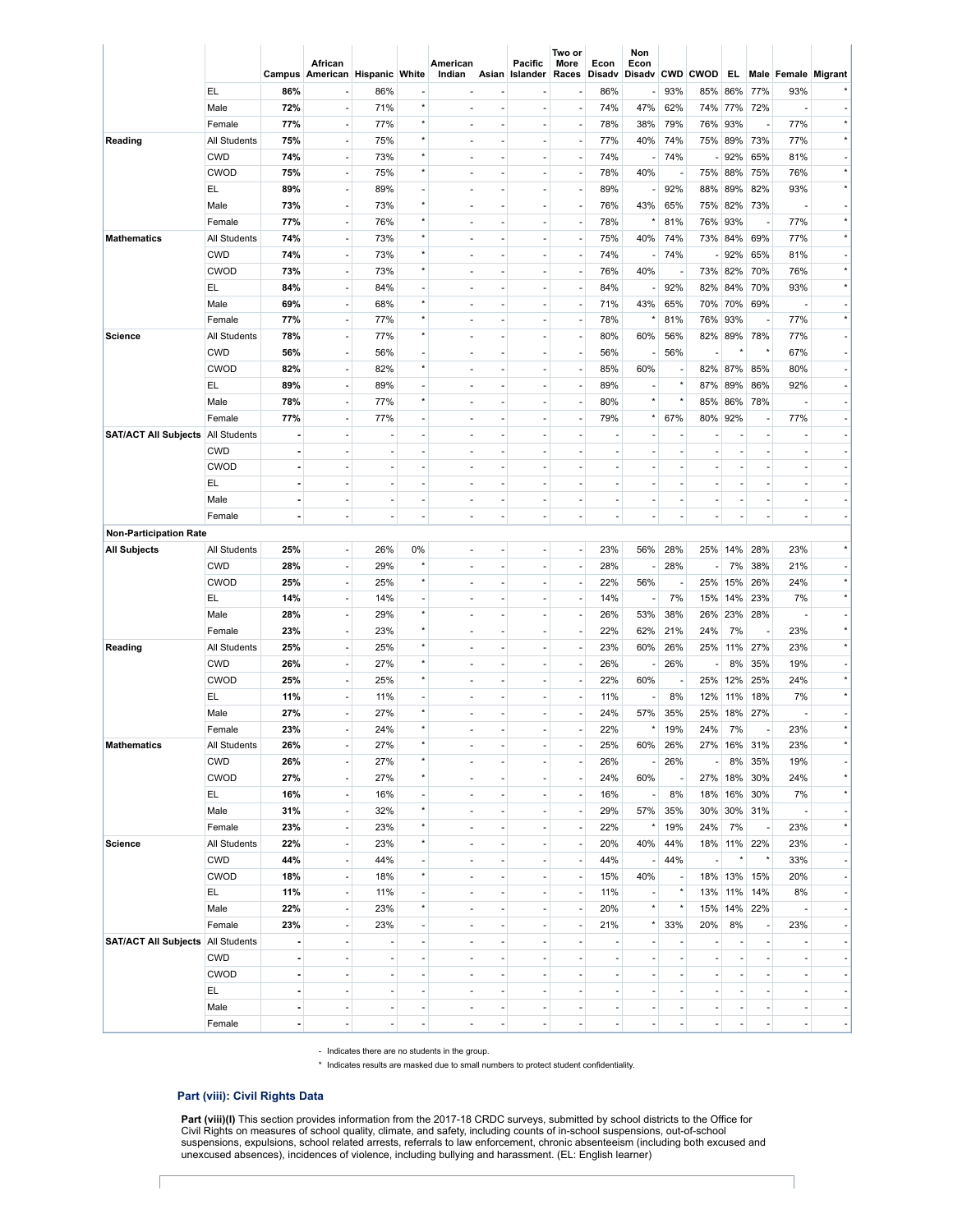|                               |                     |                | African<br>Campus American Hispanic White |                          |                                     | American<br>Indian       |                          | Pacific<br>Asian Islander | Two or<br>More<br>Races | Econ<br>Disadv        | Non<br>Econ<br>Disadv CWD CWOD |                          |                          | EL.            |                          |                | Male Female Migrant       |
|-------------------------------|---------------------|----------------|-------------------------------------------|--------------------------|-------------------------------------|--------------------------|--------------------------|---------------------------|-------------------------|-----------------------|--------------------------------|--------------------------|--------------------------|----------------|--------------------------|----------------|---------------------------|
|                               | EL                  | 86%            | ÷                                         | 86%                      | ٠                                   | ٠                        |                          | ٠                         |                         | 86%                   | $\overline{a}$                 | 93%                      | 85%                      | 86%            | 77%                      | 93%            |                           |
|                               | Male                | 72%            |                                           | 71%                      | $\star$                             | $\overline{\phantom{a}}$ |                          | ä,                        |                         | 74%                   | 47%                            | 62%                      |                          | 74% 77%        | 72%                      |                |                           |
|                               | Female              | 77%            | $\overline{a}$                            | 77%                      | $\star$                             | $\overline{\phantom{a}}$ | ٠                        | $\overline{\phantom{a}}$  |                         | 78%                   | 38%                            | 79%                      | 76%                      | 93%            | ÷,                       | 77%            | $\star$                   |
| Reading                       | All Students        | 75%            | ÷,                                        | 75%                      | $\star$                             | ä,                       |                          | ä,                        |                         | 77%                   | 40%                            | 74%                      | 75%                      | 89%            | 73%                      | 77%            | $\star$                   |
|                               | <b>CWD</b>          | 74%            | $\overline{\phantom{a}}$                  | 73%                      | $\star$                             | $\overline{\phantom{a}}$ | $\overline{\phantom{a}}$ | $\overline{\phantom{a}}$  | ٠                       | 74%                   | $\overline{a}$                 | 74%                      | ٠                        | 92%            | 65%                      | 81%            | $\blacksquare$            |
|                               | <b>CWOD</b>         | 75%            | ٠                                         | 75%                      | $\star$                             | ä,                       |                          | ä,                        |                         | 78%                   | 40%                            |                          |                          | 75% 88%        | 75%                      | 76%            | $\star$                   |
|                               |                     |                |                                           |                          |                                     |                          |                          |                           |                         |                       |                                |                          |                          |                |                          |                | $\star$                   |
|                               | EL                  | 89%            | ÷,                                        | 89%                      | $\overline{\phantom{a}}$<br>$\star$ | $\overline{\phantom{a}}$ | $\tilde{\phantom{a}}$    | $\overline{\phantom{a}}$  |                         | 89%                   | $\overline{\phantom{a}}$       | 92%                      | 88%                      | 89%            | 82%                      | 93%            |                           |
|                               | Male                | 73%            | J.                                        | 73%                      | $^\star$                            | ä,                       |                          | ä,                        |                         | 76%                   | 43%                            | 65%                      |                          | 75% 82%        | 73%                      |                | ä,                        |
|                               | Female              | 77%            | $\overline{\phantom{a}}$                  | 76%                      |                                     | $\overline{\phantom{a}}$ | $\blacksquare$           | $\overline{\phantom{a}}$  |                         | 78%                   |                                | 81%                      | 76%                      | 93%            | ÷,                       | 77%            | $\star$                   |
| <b>Mathematics</b>            | All Students        | 74%            | ٠                                         | 73%                      | $\star$                             | ä,                       |                          | ä,                        |                         | 75%                   | 40%                            | 74%                      |                          | 73% 84%        | 69%                      | 77%            | $\star$                   |
|                               | <b>CWD</b>          | 74%            | ÷,                                        | 73%                      | $\star$                             | $\overline{\phantom{a}}$ | $\tilde{\phantom{a}}$    | $\overline{\phantom{a}}$  |                         | 74%                   | ÷,                             | 74%                      | $\sim$                   | 92%            | 65%                      | 81%            | $\sim$                    |
|                               | <b>CWOD</b>         | 73%            | ÷,                                        | 73%                      | $^\star$                            | ä,                       |                          | ä,                        |                         | 76%                   | 40%                            |                          |                          | 73% 82%        | 70%                      | 76%            | $\star$                   |
|                               | EL                  | 84%            | $\overline{\phantom{a}}$                  | 84%                      | $\overline{\phantom{a}}$            | $\overline{\phantom{a}}$ | $\overline{\phantom{a}}$ | $\overline{\phantom{a}}$  | ٠                       | 84%                   | ÷,                             | 92%                      | 82%                      | 84%            | 70%                      | 93%            | $^\star$                  |
|                               | Male                | 69%            |                                           | 68%                      | $\star$                             | ٠                        |                          | ٠                         |                         | 71%                   | 43%                            | 65%                      |                          | 70% 70%        | 69%                      |                | $\frac{1}{2}$             |
|                               | Female              | 77%            | $\overline{a}$                            | 77%                      | $^\star$                            | $\overline{\phantom{a}}$ | $\overline{\phantom{a}}$ | $\overline{\phantom{a}}$  | ٠                       | 78%                   |                                | 81%                      | 76%                      | 93%            | ÷,                       | 77%            | $\star$                   |
| Science                       | All Students        | 78%            | ×,                                        | 77%                      | $\star$                             | ÷,                       |                          | ä,                        |                         | 80%                   | 60%                            | 56%                      | 82%                      | 89%            | 78%                      | 77%            | $\overline{\phantom{a}}$  |
|                               | <b>CWD</b>          | 56%            | $\overline{\phantom{a}}$                  | 56%                      | $\overline{a}$                      | $\overline{\phantom{a}}$ | $\overline{\phantom{a}}$ | $\overline{\phantom{a}}$  | $\overline{a}$          | 56%                   | ٠                              | 56%                      | ٠                        |                | $\star$                  | 67%            | $\sim$                    |
|                               | <b>CWOD</b>         | 82%            |                                           | 82%                      | $\star$                             | ٠                        |                          | ä,                        |                         | 85%                   | 60%                            |                          |                          | 82% 87%        | 85%                      | 80%            | $\overline{\phantom{a}}$  |
|                               | EL                  | 89%            | $\overline{a}$                            | 89%                      | $\overline{\phantom{a}}$            | $\overline{\phantom{a}}$ | $\overline{\phantom{a}}$ | $\overline{\phantom{a}}$  |                         | 89%                   | ÷,                             | $\star$                  | 87%                      | 89%            | 86%                      | 92%            | $\sim$                    |
|                               | Male                | 78%            | ÷,                                        | 77%                      | $\star$                             | ä,                       |                          | ä,                        |                         | 80%                   | $\star$                        | $\star$                  | 85%                      | 86%            | 78%                      |                | $\frac{1}{2}$             |
|                               | Female              | 77%            | $\overline{\phantom{a}}$                  | 77%                      | $\overline{a}$                      | $\overline{\phantom{a}}$ | $\overline{\phantom{a}}$ | $\overline{\phantom{a}}$  | ٠                       | 79%                   |                                | 67%                      | 80%                      | 92%            | $\overline{\phantom{a}}$ | 77%            | $\blacksquare$            |
|                               |                     |                |                                           |                          | ä,                                  | ä,                       |                          |                           |                         |                       |                                |                          |                          |                |                          |                |                           |
| <b>SAT/ACT All Subjects</b>   | <b>All Students</b> |                | ٠                                         | ÷,                       |                                     |                          |                          | ä,                        |                         |                       |                                |                          |                          |                | ÷,                       |                | ٠                         |
|                               | <b>CWD</b>          | $\blacksquare$ | $\overline{a}$                            | $\overline{\phantom{a}}$ | ÷,                                  | $\overline{\phantom{a}}$ | $\tilde{\phantom{a}}$    | $\overline{\phantom{a}}$  |                         | $\tilde{\phantom{a}}$ | ÷,                             | $\overline{\phantom{a}}$ | $\overline{\phantom{a}}$ |                | $\overline{\phantom{a}}$ | $\overline{a}$ | $\sim$                    |
|                               | <b>CWOD</b>         |                |                                           | ÷,                       |                                     | ä,                       |                          | ä,                        |                         | L,                    |                                | ÷,                       |                          |                | ÷,                       |                |                           |
|                               | EL.                 | Ĭ.             | $\overline{a}$                            | $\overline{\phantom{a}}$ | ä,                                  | $\overline{\phantom{a}}$ | $\blacksquare$           | $\sim$                    |                         | ÷,                    | ÷,                             | $\overline{\phantom{a}}$ | ٠                        | $\blacksquare$ | $\overline{\phantom{a}}$ | $\overline{a}$ | $\blacksquare$            |
|                               | Male                |                | ×,                                        | ÷,                       | ä,                                  | $\sim$                   | ÷,                       | ä,                        |                         | ä,                    | ÷,                             | ÷,                       | ٠                        |                | ÷,                       | ÷,             | $\frac{1}{2}$             |
|                               | Female              | ä,             | ÷,                                        | $\sim$                   | $\sim$                              | $\sim$                   | $\sim$                   | $\overline{\phantom{a}}$  |                         | ä,                    |                                | $\sim$                   | ٠                        |                | ÷,                       | ÷,             | $\sim$                    |
| <b>Non-Participation Rate</b> |                     |                |                                           |                          |                                     |                          |                          |                           |                         |                       |                                |                          |                          |                |                          |                |                           |
| <b>All Subjects</b>           | All Students        | 25%            | ٠                                         | 26%                      | 0%                                  | ٠                        |                          | ٠                         |                         | 23%                   | 56%                            | 28%                      | 25%                      | 14%            | 28%                      | 23%            | $\star$                   |
|                               | <b>CWD</b>          | 28%            | ÷                                         | 29%                      | $\star$                             | $\overline{\phantom{m}}$ |                          | $\overline{\phantom{m}}$  |                         | 28%                   |                                | 28%                      | $\overline{\phantom{m}}$ | 7%             | 38%                      | 21%            | $\overline{\phantom{a}}$  |
|                               | <b>CWOD</b>         | 25%            | ٠                                         | 25%                      | $\star$                             | ٠                        |                          | $\blacksquare$            |                         | 22%                   | 56%                            | $\overline{\phantom{a}}$ | 25%                      | 15%            | 26%                      | 24%            | $\star$                   |
|                               | EL                  | 14%            | ×                                         | 14%                      | $\overline{\phantom{a}}$            | ٠                        |                          | ٠                         |                         | 14%                   | ٠                              | 7%                       | 15%                      | 14%            | 23%                      | 7%             | $^{\star}$                |
|                               | Male                | 28%            | $\overline{\phantom{a}}$                  | 29%                      | $^\star$                            | ٠                        |                          | ٠                         |                         | 26%                   | 53%                            | 38%                      | 26%                      | 23%            | 28%                      |                | ٠                         |
|                               | Female              | 23%            | ł,                                        | 23%                      | $\star$                             | ٠                        |                          | ٠                         |                         | 22%                   | 62%                            | 21%                      | 24%                      | 7%             | ÷                        | 23%            | $\star$                   |
| Reading                       | All Students        | 25%            | ÷,                                        | 25%                      | $\star$                             | ٠                        |                          | $\blacksquare$            |                         | 23%                   | 60%                            | 26%                      | 25%                      | 11%            | 27%                      | 23%            | $\star$                   |
|                               | <b>CWD</b>          | 26%            | ×,                                        | 27%                      | $\star$                             | ٠                        |                          | ×,                        |                         | 26%                   |                                | 26%                      | $\overline{\phantom{a}}$ | 8%             | 35%                      | 19%            | $\overline{\phantom{a}}$  |
|                               | <b>CWOD</b>         | 25%            | $\overline{\phantom{a}}$                  | 25%                      | $^\star$                            | ٠                        | ÷                        | $\blacksquare$            |                         | 22%                   | 60%                            |                          | 25%                      | 12%            | 25%                      | 24%            | $^\star$                  |
|                               | EL                  | 11%            |                                           | 11%                      | $\blacksquare$                      | ٠                        |                          | ä,                        |                         | 11%                   | ٠                              | 8%                       | 12%                      | 11%            | 18%                      | 7%             | $\star$                   |
|                               |                     |                | ÷                                         |                          | $\star$                             |                          |                          |                           |                         |                       |                                |                          |                          |                |                          |                |                           |
|                               | Male                | 27%            | ٠                                         | 27%                      | $\star$                             | ٠                        |                          | $\sim$                    |                         | 24%                   | 57%                            | 35%                      | 25%                      | 18%            | 27%                      |                | $\blacksquare$<br>$\star$ |
|                               | Female              | 23%            | $\overline{\phantom{a}}$                  | 24%                      |                                     | ٠                        |                          | ä,                        |                         | 22%                   |                                | 19%                      | 24%                      | 7%             | ٠                        | 23%            |                           |
| Mathematics                   | All Students        | 26%            | ٠                                         | 27%                      | *                                   |                          |                          | $\sim$                    |                         | 25%                   | 60%                            | 26%                      |                          | 27% 16%        | 31%                      | 23%            | $^\star$                  |
|                               | <b>CWD</b>          | 26%            | $\overline{a}$                            | 27%                      | $\star$                             | $\sim$                   |                          | $\overline{\phantom{a}}$  |                         | 26%                   | ٠                              | 26%                      | ٠                        | 8%             | 35%                      | 19%            | $\overline{\phantom{a}}$  |
|                               | <b>CWOD</b>         | 27%            | ÷,                                        | 27%                      | $^\star$                            | $\sim$                   |                          | $\tilde{\phantom{a}}$     |                         | 24%                   | 60%                            | $\overline{\phantom{a}}$ |                          | 27% 18%        | 30%                      | 24%            | $\star$                   |
|                               | EL.                 | 16%            | $\overline{a}$                            | 16%                      | $\overline{a}$                      | $\sim$                   |                          | $\overline{\phantom{a}}$  |                         | 16%                   | $\overline{\phantom{a}}$       | 8%                       |                          | 18% 16%        | 30%                      | 7%             | $\star$                   |
|                               | Male                | 31%            | $\overline{a}$                            | 32%                      | $\star$                             | $\sim$                   | ٠                        | $\tilde{\phantom{a}}$     |                         | 29%                   | 57%                            | 35%                      | 30%                      | 30%            | 31%                      |                | $\sim$                    |
|                               | Female              | 23%            | ÷,                                        | 23%                      | $\star$                             | $\overline{\phantom{a}}$ | ×,                       | $\overline{\phantom{a}}$  |                         | 22%                   |                                | 19%                      | 24%                      | 7%             | $\overline{\phantom{a}}$ | 23%            | $\star$                   |
| Science                       | All Students        | 22%            | $\overline{a}$                            | 23%                      | $^\star$                            | $\sim$                   |                          | $\tilde{\phantom{a}}$     |                         | 20%                   | 40%                            | 44%                      |                          | 18% 11%        | 22%                      | 23%            | $\overline{\phantom{a}}$  |
|                               | <b>CWD</b>          | 44%            | $\overline{a}$                            | 44%                      | $\overline{\phantom{a}}$            | $\overline{\phantom{a}}$ |                          | $\overline{\phantom{a}}$  |                         | 44%                   | $\overline{\phantom{a}}$       | 44%                      | $\overline{\phantom{a}}$ | $\star$        | $^\star$                 | 33%            | ٠                         |
|                               | <b>CWOD</b>         | 18%            | ÷,                                        | 18%                      | $^\star$                            | ٠                        | ٠                        | $\tilde{\phantom{a}}$     |                         | 15%                   | 40%                            | $\sim$                   |                          | 18% 13%        | 15%                      | 20%            | $\sim$                    |
|                               | EL.                 | 11%            | ÷                                         | 11%                      | $\overline{\phantom{a}}$            | $\overline{\phantom{a}}$ | ÷                        | $\overline{\phantom{a}}$  |                         | 11%                   | $\overline{\phantom{a}}$       | $\star$                  |                          | 13% 11%        | 14%                      | 8%             | ۰                         |
|                               | Male                | 22%            | $\overline{\phantom{a}}$                  | 23%                      | $^\star$                            | $\sim$                   | ٠                        | $\tilde{\phantom{a}}$     |                         | 20%                   | $^\star$                       | $^\star$                 |                          | 15% 14%        | 22%                      |                | $\sim$                    |
|                               | Female              | 23%            | ł,                                        | 23%                      | $\overline{a}$                      | $\overline{\phantom{a}}$ | ٠                        | $\overline{\phantom{a}}$  |                         | 21%                   | $\star$                        | 33%                      | 20%                      | 8%             | $\overline{a}$           | 23%            | $\overline{\phantom{a}}$  |
| <b>SAT/ACT All Subjects</b>   | <b>All Students</b> |                | $\overline{\phantom{a}}$                  |                          | $\sim$                              | $\sim$                   | ٠                        | $\tilde{\phantom{a}}$     |                         | ä,                    | ٠                              | $\sim$                   | ٠                        |                | $\overline{\phantom{a}}$ |                | $\sim$                    |
|                               | <b>CWD</b>          | Ĭ.             | ×,                                        | ٠                        | $\overline{\phantom{a}}$            | $\sim$                   | ٠                        | $\overline{\phantom{a}}$  |                         | $\blacksquare$        | ٠                              | $\sim$                   | ٠                        |                | $\overline{\phantom{a}}$ | ٠              | $\overline{\phantom{a}}$  |
|                               | <b>CWOD</b>         | $\blacksquare$ | ÷,                                        | $\sim$                   | $\sim$                              | $\sim$                   |                          | $\tilde{\phantom{a}}$     |                         | ÷,                    | ÷.                             | $\sim$                   | $\overline{\phantom{a}}$ |                | ä,                       | ÷,             | $\sim$                    |
|                               | EL.                 |                |                                           |                          |                                     |                          |                          |                           |                         |                       |                                |                          |                          |                |                          |                |                           |
|                               |                     | $\overline{a}$ | ×,                                        | $\overline{\phantom{a}}$ | $\overline{a}$                      | $\sim$                   | ٠                        | $\blacksquare$            |                         | $\sim$                |                                | $\sim$                   | $\overline{\phantom{a}}$ |                | $\overline{\phantom{a}}$ | $\overline{a}$ | ٠                         |
|                               | Male                | $\blacksquare$ | $\overline{\phantom{a}}$                  | $\sim$                   | $\sim$                              | ٠                        | $\blacksquare$           | $\sim$                    |                         | $\sim$                | $\overline{\phantom{a}}$       | $\sim$                   | ٠                        |                | $\overline{\phantom{a}}$ | ÷,             | $\sim$                    |
|                               | Female              | $\blacksquare$ | ł,                                        | $\sim$                   | ä,                                  | $\overline{\phantom{a}}$ | ×,                       | $\overline{\phantom{a}}$  |                         | ÷,                    |                                | $\overline{\phantom{a}}$ | ٠                        |                | ÷,                       | $\overline{a}$ | $\overline{\phantom{a}}$  |

- Indicates there are no students in the group.

\* Indicates results are masked due to small numbers to protect student confidentiality.

# **Part (viii): Civil Rights Data**

**Part (viii)(I)** This section provides information from the 2017-18 CRDC surveys, submitted by school districts to the Office for<br>Civil Rights on measures of school quality, climate, and safety, including counts of in-scho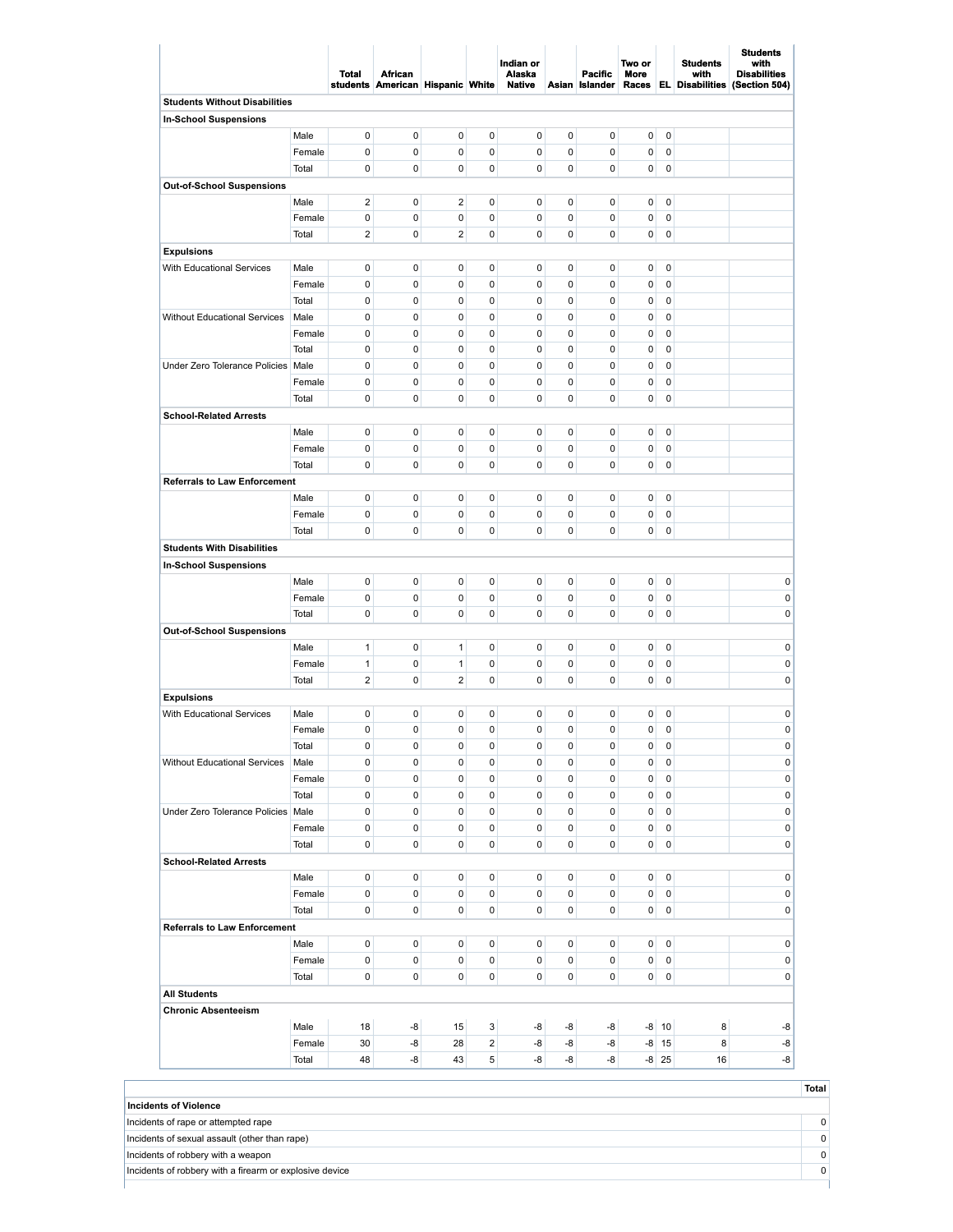|                                      |               | Total                  | <b>African</b><br>students American Hispanic White |                         |                | Indian or<br>Alaska<br><b>Native</b> |        | <b>Pacific</b><br>Asian Islander | Two or<br>More<br>Races |                            | <b>Students</b><br>with<br><b>EL Disabilities</b> | <b>Students</b><br>with<br><b>Disabilities</b><br>(Section 504) |
|--------------------------------------|---------------|------------------------|----------------------------------------------------|-------------------------|----------------|--------------------------------------|--------|----------------------------------|-------------------------|----------------------------|---------------------------------------------------|-----------------------------------------------------------------|
| <b>Students Without Disabilities</b> |               |                        |                                                    |                         |                |                                      |        |                                  |                         |                            |                                                   |                                                                 |
| In-School Suspensions                |               |                        |                                                    |                         |                |                                      |        |                                  |                         |                            |                                                   |                                                                 |
|                                      | Male          | $\pmb{0}$              | 0                                                  | 0                       | 0              | 0                                    | 0      | 0                                | 0                       | $\mathbf 0$                |                                                   |                                                                 |
|                                      | Female        | $\mathbf 0$            | 0                                                  | 0                       | 0              | 0                                    | 0      | 0                                | 0                       | $\mathbf 0$                |                                                   |                                                                 |
|                                      | Total         | 0                      | 0                                                  | 0                       | 0              | 0                                    | 0      | 0                                | 0                       | $\mathbf 0$                |                                                   |                                                                 |
| Out-of-School Suspensions            | Male          | $\sqrt{2}$             | 0                                                  | $\overline{\mathbf{c}}$ | 0              | 0                                    | 0      | 0                                | 0                       | $\pmb{0}$                  |                                                   |                                                                 |
|                                      | Female        | $\pmb{0}$              | 0                                                  | $\mathbf 0$             | $\pmb{0}$      | $\pmb{0}$                            | 0      | 0                                | 0                       | $\mathbf 0$                |                                                   |                                                                 |
|                                      | Total         | $\sqrt{2}$             | 0                                                  | $\overline{\mathbf{c}}$ | 0              | 0                                    | 0      | 0                                | 0                       | 0                          |                                                   |                                                                 |
| <b>Expulsions</b>                    |               |                        |                                                    |                         |                |                                      |        |                                  |                         |                            |                                                   |                                                                 |
| With Educational Services            | Male          | $\pmb{0}$              | 0                                                  | 0                       | 0              | 0                                    | 0      | 0                                | 0                       | $\pmb{0}$                  |                                                   |                                                                 |
|                                      | Female        | $\pmb{0}$              | 0                                                  | 0                       | 0              | 0                                    | 0      | 0                                | 0                       | $\mathbf 0$                |                                                   |                                                                 |
|                                      | Total         | 0                      | 0                                                  | 0                       | 0              | 0                                    | 0      | 0                                | 0                       | 0                          |                                                   |                                                                 |
| <b>Without Educational Services</b>  | Male          | 0                      | 0                                                  | 0                       | 0              | 0                                    | 0      | 0                                | 0                       | $\pmb{0}$                  |                                                   |                                                                 |
|                                      | Female        | 0                      | 0                                                  | 0                       | 0              | 0                                    | 0      | 0                                | 0                       | 0                          |                                                   |                                                                 |
|                                      | Total         | $\pmb{0}$              | 0                                                  | 0                       | 0              | 0                                    | 0      | 0                                | 0                       | $\mathbf 0$                |                                                   |                                                                 |
| Under Zero Tolerance Policies   Male |               | 0                      | 0                                                  | 0                       | 0              | 0                                    | 0      | 0                                | 0                       | 0                          |                                                   |                                                                 |
|                                      | Female        | 0                      | 0                                                  | 0                       | 0              | 0                                    | 0      | 0                                | 0                       | $\pmb{0}$                  |                                                   |                                                                 |
|                                      | Total         | $\pmb{0}$              | 0                                                  | 0                       | 0              | 0                                    | 0      | 0                                | 0                       | 0                          |                                                   |                                                                 |
| <b>School-Related Arrests</b>        |               |                        |                                                    |                         |                |                                      |        |                                  |                         |                            |                                                   |                                                                 |
|                                      | Male          | $\pmb{0}$              | 0                                                  | 0                       | 0              | 0                                    | 0      | 0                                | 0                       | $\mathbf 0$                |                                                   |                                                                 |
|                                      | Female        | 0                      | 0                                                  | 0                       | 0              | 0                                    | 0      | 0                                | 0                       | $\pmb{0}$                  |                                                   |                                                                 |
|                                      | Total         | 0                      | 0                                                  | 0                       | 0              | 0                                    | 0      | 0                                | 0                       | 0                          |                                                   |                                                                 |
| <b>Referrals to Law Enforcement</b>  |               |                        |                                                    |                         |                |                                      |        |                                  |                         |                            |                                                   |                                                                 |
|                                      | Male          | $\pmb{0}$              | $\pmb{0}$                                          | $\pmb{0}$               | 0              | $\pmb{0}$                            | 0      | $\mathbf 0$                      | 0                       | $\mathbf 0$                |                                                   |                                                                 |
|                                      | Female        | 0                      | 0                                                  | 0                       | 0              | 0                                    | 0      | 0                                | 0                       | $\mathbf 0$                |                                                   |                                                                 |
|                                      | Total         | $\mathbf 0$            | 0                                                  | 0                       | 0              | 0                                    | 0      | 0                                | 0                       | $\pmb{0}$                  |                                                   |                                                                 |
| <b>Students With Disabilities</b>    |               |                        |                                                    |                         |                |                                      |        |                                  |                         |                            |                                                   |                                                                 |
| In-School Suspensions                |               |                        |                                                    |                         |                |                                      |        |                                  |                         |                            |                                                   |                                                                 |
|                                      | Male          | $\pmb{0}$              | 0                                                  | 0                       | 0              | 0                                    | 0      | 0                                | 0                       | $\mathbf 0$                |                                                   | 0                                                               |
|                                      | Female        | 0                      | 0                                                  | 0                       | 0              | 0                                    | 0      | 0                                | 0                       | $\pmb{0}$                  |                                                   | 0                                                               |
|                                      | Total         | 0                      | 0                                                  | 0                       | 0              | 0                                    | 0      | 0                                | 0                       | 0                          |                                                   | 0                                                               |
| Out-of-School Suspensions            |               |                        |                                                    |                         |                |                                      |        |                                  |                         |                            |                                                   |                                                                 |
|                                      | Male          | $\mathbf{1}$           | $\pmb{0}$                                          | 1                       | 0              | $\pmb{0}$                            | 0      | $\mathbf 0$                      | 0                       | $\mathbf 0$                |                                                   | $\pmb{0}$                                                       |
|                                      | Female        | $\mathbf{1}$           | 0                                                  | 1                       | 0              | 0                                    | 0      | 0                                | 0                       | $\mathbf 0$                |                                                   | $\pmb{0}$                                                       |
|                                      | Total         | $\sqrt{2}$             | 0                                                  | $\overline{2}$          | 0              | 0                                    | 0      | 0                                | 0                       | 0                          |                                                   | 0                                                               |
| <b>Expulsions</b>                    |               |                        |                                                    |                         |                |                                      |        |                                  |                         |                            |                                                   |                                                                 |
| With Educational Services            | Male          | $\pmb{0}$              | 0                                                  | 0                       | 0              | 0                                    | 0      | $\mathbf 0$                      | 0                       | $\mathbf 0$                |                                                   | $\mathbf 0$                                                     |
|                                      | Female        | 0                      | 0                                                  | 0                       | 0              | 0                                    | 0      | $\mathbf 0$                      | 0                       | 0                          |                                                   | $\mathbf 0$                                                     |
| Without Educational Services         | Total<br>Male | $\pmb{0}$<br>$\pmb{0}$ | 0<br>0                                             | 0<br>0                  | 0<br>0         | 0<br>0                               | 0<br>0 | 0<br>0                           | 0<br>$\mathbf{0}$       | $\mathbf 0$<br>$\mathbf 0$ |                                                   | 0<br>$\pmb{0}$                                                  |
|                                      | Female        | 0                      | 0                                                  | 0                       | 0              | 0                                    | 0      | 0                                | $\overline{0}$          | $\overline{\mathbf{0}}$    |                                                   | $\pmb{0}$                                                       |
|                                      | Total         | $\pmb{0}$              | 0                                                  | 0                       | 0              | 0                                    | 0      | 0                                |                         | $0\quad 0$                 |                                                   | $\pmb{0}$                                                       |
| Under Zero Tolerance Policies Male   |               | $\pmb{0}$              | 0                                                  | 0                       | 0              | 0                                    | 0      | 0                                | $\overline{0}$          | $\overline{\mathbf{0}}$    |                                                   | 0                                                               |
|                                      | Female        | 0                      | 0                                                  | 0                       | 0              | 0                                    | 0      | 0                                | $\mathbf{0}$            | 0                          |                                                   | $\pmb{0}$                                                       |
|                                      | Total         | 0                      | 0                                                  | 0                       | 0              | 0                                    | 0      | 0                                | $\overline{0}$          | $\mathbf 0$                |                                                   | 0                                                               |
| <b>School-Related Arrests</b>        |               |                        |                                                    |                         |                |                                      |        |                                  |                         |                            |                                                   |                                                                 |
|                                      | Male          | $\pmb{0}$              | 0                                                  | $\overline{0}$          | $\overline{0}$ | $\mathbf{0}$                         | 0      | 0                                | $\overline{0}$          | $\overline{\mathbf{0}}$    |                                                   | 0                                                               |
|                                      | Female        | 0                      | 0                                                  | 0                       | 0              | $\overline{0}$                       | 0      | 0                                | $\overline{0}$          | $\mathbf 0$                |                                                   | $\overline{0}$                                                  |
|                                      | Total         | 0                      | 0                                                  | 0                       | 0              | $\mathbf{0}$                         | 0      | 0                                | $\overline{0}$          | $\mathbf 0$                |                                                   | 0                                                               |
| <b>Referrals to Law Enforcement</b>  |               |                        |                                                    |                         |                |                                      |        |                                  |                         |                            |                                                   |                                                                 |
|                                      | Male          | $\pmb{0}$              | 0                                                  | 0                       | 0              | $\mathbf{0}$                         | 0      | 0                                | $\overline{0}$          | $\overline{\mathbf{0}}$    |                                                   | $\pmb{0}$                                                       |
|                                      | Female        | $\pmb{0}$              | 0                                                  | 0                       | 0              | 0                                    | 0      | 0                                | $\overline{0}$          | $\overline{\mathbf{0}}$    |                                                   | 0                                                               |
|                                      | Total         | $\pmb{0}$              | 0                                                  | 0                       | 0              | 0                                    | 0      | 0                                | $\overline{0}$          | $\mathbf 0$                |                                                   | 0                                                               |
| <b>All Students</b>                  |               |                        |                                                    |                         |                |                                      |        |                                  |                         |                            |                                                   |                                                                 |
| <b>Chronic Absenteeism</b>           |               |                        |                                                    |                         |                |                                      |        |                                  |                         |                            |                                                   |                                                                 |
|                                      | Male          | 18                     | -8                                                 | 15                      | 3 <sup>1</sup> | -8                                   | -8     | -8                               |                         | $-8$ 10                    | 8                                                 | -8                                                              |
|                                      | Female        | 30                     | -8                                                 | 28                      | $\overline{c}$ | $-8$                                 | -8     | -8                               |                         | $-8$ 15                    | 8                                                 | $-8$                                                            |
|                                      | Total         | 48                     | -8                                                 | 43                      | 5              | $-8$                                 | -8     | $-8$                             |                         | $-8$ 25                    | 16                                                | $-8$                                                            |

|                                                         | ------ |
|---------------------------------------------------------|--------|
| <b>Incidents of Violence</b>                            |        |
| Incidents of rape or attempted rape                     |        |
| Incidents of sexual assault (other than rape)           |        |
| Incidents of robbery with a weapon                      |        |
| Incidents of robbery with a firearm or explosive device |        |

**Total**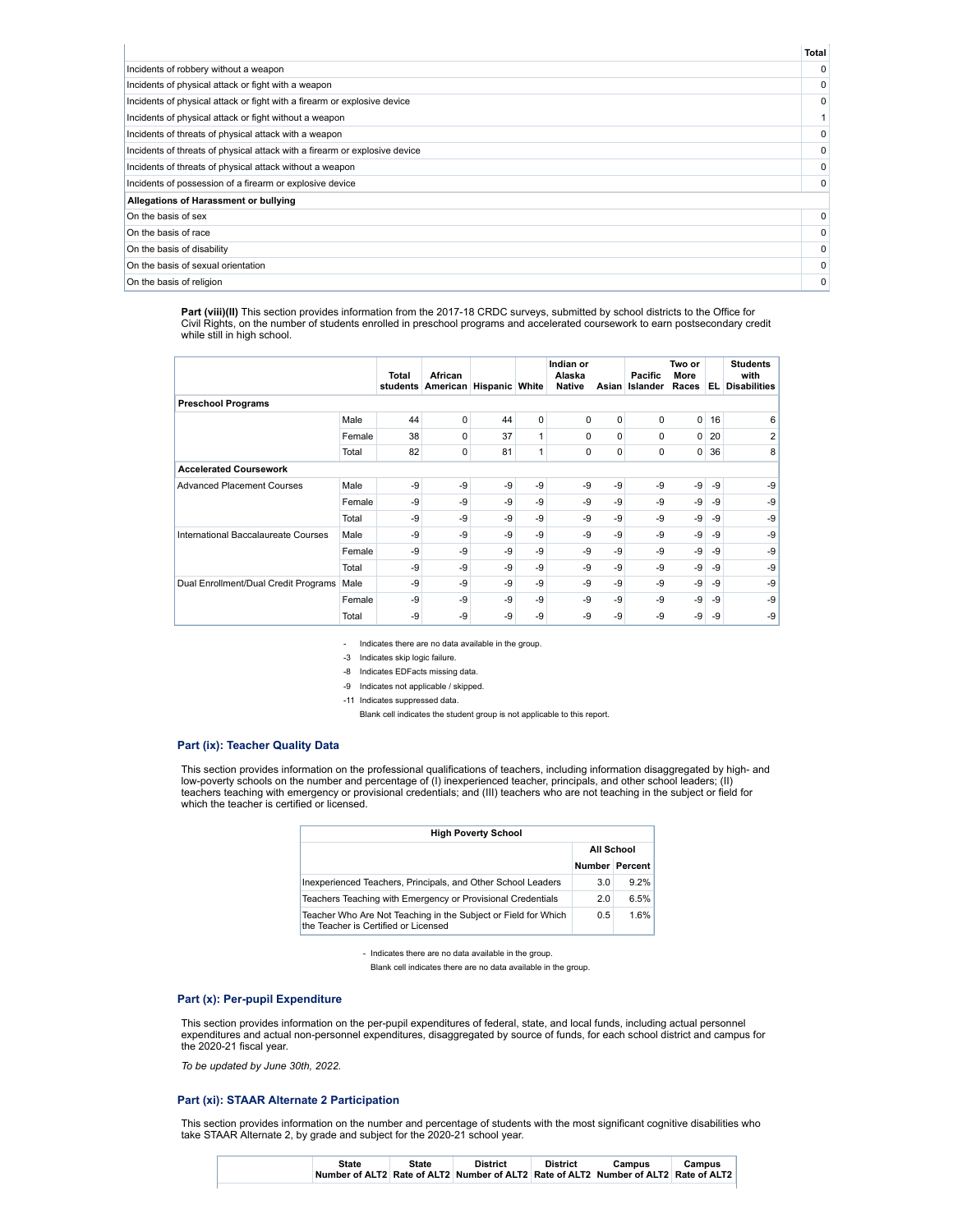|                                                                            | <b>Total</b> |
|----------------------------------------------------------------------------|--------------|
| Incidents of robbery without a weapon                                      | $\Omega$     |
| Incidents of physical attack or fight with a weapon                        | $\Omega$     |
| Incidents of physical attack or fight with a firearm or explosive device   | 0            |
| Incidents of physical attack or fight without a weapon                     |              |
| Incidents of threats of physical attack with a weapon                      | 0            |
| Incidents of threats of physical attack with a firearm or explosive device | $\Omega$     |
| Incidents of threats of physical attack without a weapon                   |              |
| Incidents of possession of a firearm or explosive device                   | $\Omega$     |
| Allegations of Harassment or bullying                                      |              |
| On the basis of sex                                                        | $\Omega$     |
| On the basis of race                                                       | 0            |
| On the basis of disability                                                 | $\Omega$     |
| On the basis of sexual orientation                                         |              |
| On the basis of religion                                                   | 0            |

**Part (viii)(II)** This section provides information from the 2017-18 CRDC surveys, submitted by school districts to the Office for Civil Rights, on the number of students enrolled in preschool programs and accelerated coursework to earn postsecondary credit while still in high school.

|                                      |        | Total<br>students | African<br>American | <b>Hispanic White</b> |             | Indian or<br>Alaska<br><b>Native</b> | Asian    | Pacific<br>Islander | Two or<br>More<br>Races | EL.                                | <b>Students</b><br>with<br><b>Disabilities</b> |
|--------------------------------------|--------|-------------------|---------------------|-----------------------|-------------|--------------------------------------|----------|---------------------|-------------------------|------------------------------------|------------------------------------------------|
| <b>Preschool Programs</b>            |        |                   |                     |                       |             |                                      |          |                     |                         |                                    |                                                |
|                                      | Male   | 44                | 0                   | 44                    | $\mathbf 0$ | $\Omega$                             | 0        | 0                   | $\overline{0}$          | 16                                 | 6                                              |
|                                      | Female | 38                | 0                   | 37                    | 1           | $\Omega$                             | 0        | 0                   | 0                       | 20                                 | $\overline{2}$                                 |
|                                      | Total  | 82                | 0                   | 81                    | 1           | 0                                    | $\Omega$ | 0                   | 0                       | 36                                 | 8                                              |
| <b>Accelerated Coursework</b>        |        |                   |                     |                       |             |                                      |          |                     |                         |                                    |                                                |
| <b>Advanced Placement Courses</b>    | Male   | -9                | -9                  | -9                    | -9          | $-9$                                 | -9       | $-9$                | $-9$                    | $-9$                               | $-9$                                           |
|                                      | Female | -9                | $-9$                | -9                    | -9          | $-9$                                 | -9       | -9                  | -9                      | $-9$                               | $-9$                                           |
|                                      | Total  | -9                | -9                  | -9                    | -9          | -9                                   | -9       | -9                  | -9                      | $-9$                               | $-9$                                           |
| International Baccalaureate Courses  | Male   | -9                | $-9$                | -9                    | $-9$        | $-9$                                 | $-9$     | -9                  | -9                      | $-9$                               | $-9$                                           |
|                                      | Female | -9                | -9                  | -9                    | -9          | $-9$                                 | $-9$     | -9                  | -9                      | $-9$<br>$-9$<br>-9<br>$-9$<br>$-9$ | $-9$                                           |
|                                      | Total  | -9                | $-9$                | -9                    | $-9$        | $-9$                                 | -9       | $-9$                | $-9$                    |                                    | $-9$                                           |
| Dual Enrollment/Dual Credit Programs | Male   | -9                | -9                  | -9                    | -9          | -9                                   | -9       | -9                  | -9                      |                                    | -9                                             |
|                                      | Female | -9                | $-9$                | -9                    | $-9$        | $-9$                                 | $-9$     | $-9$                | -9                      |                                    | $-9$                                           |
|                                      | Total  | -9                | $-9$                | -9                    | $-9$        | $-9$                                 | -9       | -9                  | -9                      |                                    | -9                                             |

- Indicates there are no data available in the group.

-3 Indicates skip logic failure.

-8 Indicates EDFacts missing data.

-9 Indicates not applicable / skipped.

-11 Indicates suppressed data.

Blank cell indicates the student group is not applicable to this report.

### **Part (ix): Teacher Quality Data**

This section provides information on the professional qualifications of teachers, including information disaggregated by high- and<br>low-poverty schools on the number and percentage of (I) inexperienced teacher, principals, which the teacher is certified or licensed.

| <b>High Poverty School</b>                                                                             |                       |      |  |  |  |  |  |  |
|--------------------------------------------------------------------------------------------------------|-----------------------|------|--|--|--|--|--|--|
|                                                                                                        | All School            |      |  |  |  |  |  |  |
|                                                                                                        | <b>Number Percent</b> |      |  |  |  |  |  |  |
| Inexperienced Teachers, Principals, and Other School Leaders                                           | 3.0                   | 9.2% |  |  |  |  |  |  |
| Teachers Teaching with Emergency or Provisional Credentials                                            | 2.0                   | 6.5% |  |  |  |  |  |  |
| Teacher Who Are Not Teaching in the Subject or Field for Which<br>the Teacher is Certified or Licensed | 0.5                   | 1.6% |  |  |  |  |  |  |

- Indicates there are no data available in the group.

Blank cell indicates there are no data available in the group.

## **Part (x): Per-pupil Expenditure**

This section provides information on the per-pupil expenditures of federal, state, and local funds, including actual personnel expenditures and actual non-personnel expenditures, disaggregated by source of funds, for each school district and campus for the 2020-21 fiscal year.

*To be updated by June 30th, 2022.*

#### **Part (xi): STAAR Alternate 2 Participation**

This section provides information on the number and percentage of students with the most significant cognitive disabilities who take STAAR Alternate 2, by grade and subject for the 2020-21 school year.

| State | State | <b>District</b> | <b>District</b> | Campus                                                                              | Campus |
|-------|-------|-----------------|-----------------|-------------------------------------------------------------------------------------|--------|
|       |       |                 |                 | Number of ALT2 Rate of ALT2 Number of ALT2 Rate of ALT2 Number of ALT2 Rate of ALT2 |        |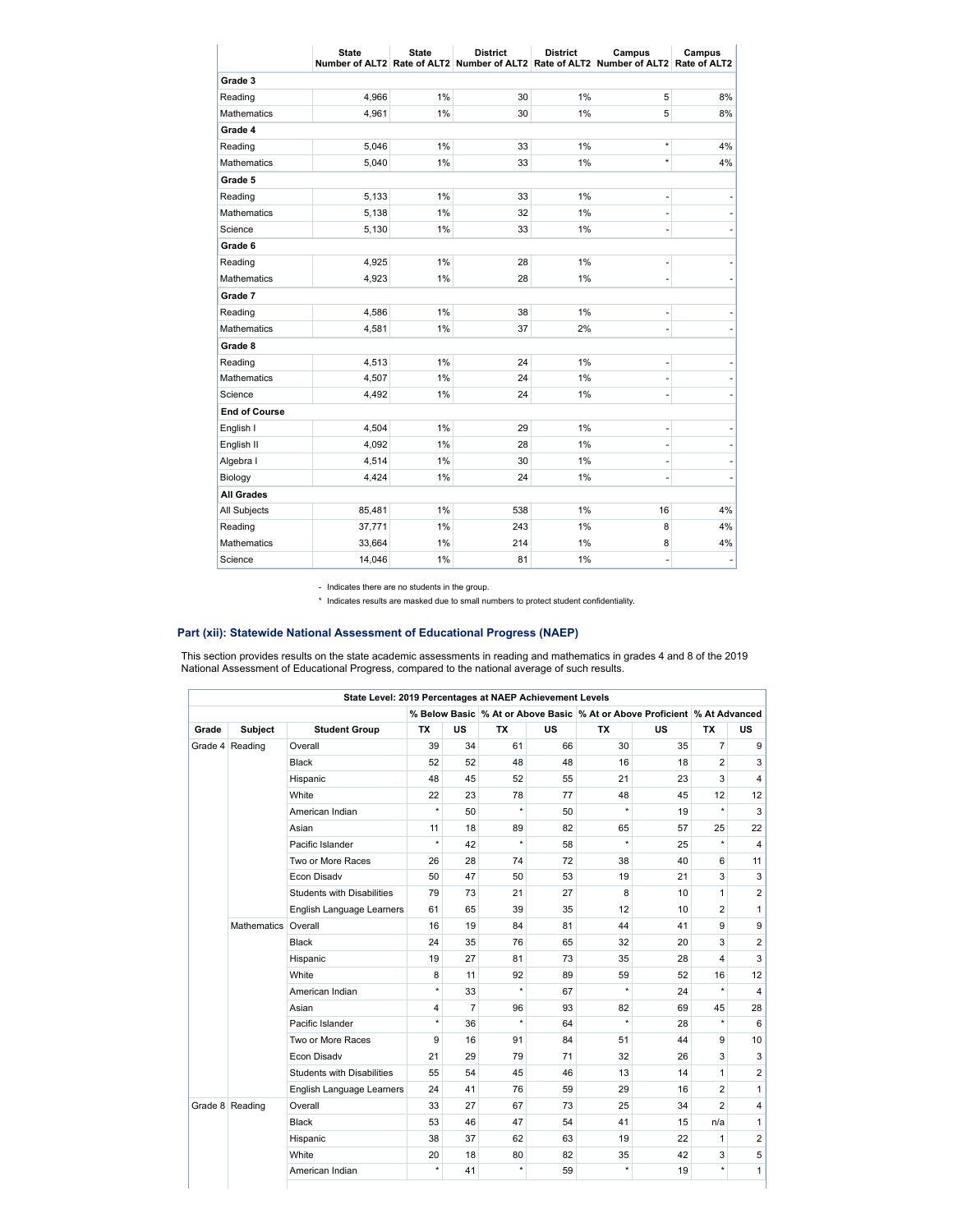|                      | <b>State</b> | <b>State</b> | <b>District</b> | <b>District</b> | Campus<br>Number of ALT2 Rate of ALT2 Number of ALT2 Rate of ALT2 Number of ALT2 Rate of ALT2 | Campus |
|----------------------|--------------|--------------|-----------------|-----------------|-----------------------------------------------------------------------------------------------|--------|
| Grade 3              |              |              |                 |                 |                                                                                               |        |
| Reading              | 4,966        | 1%           | 30              | 1%              | 5                                                                                             | 8%     |
| <b>Mathematics</b>   | 4,961        | 1%           | 30              | 1%              | 5                                                                                             | 8%     |
| Grade 4              |              |              |                 |                 |                                                                                               |        |
| Reading              | 5,046        | 1%           | 33              | 1%              | $\star$                                                                                       | 4%     |
| <b>Mathematics</b>   | 5,040        | 1%           | 33              | 1%              | $\star$                                                                                       | 4%     |
| Grade 5              |              |              |                 |                 |                                                                                               |        |
| Reading              | 5,133        | 1%           | 33              | 1%              | ٠                                                                                             |        |
| <b>Mathematics</b>   | 5,138        | 1%           | 32              | 1%              | ۰                                                                                             |        |
| Science              | 5,130        | 1%           | 33              | 1%              | i,                                                                                            |        |
| Grade 6              |              |              |                 |                 |                                                                                               |        |
| Reading              | 4,925        | 1%           | 28              | 1%              | i,                                                                                            |        |
| <b>Mathematics</b>   | 4,923        | 1%           | 28              | 1%              | ۰                                                                                             |        |
| Grade 7              |              |              |                 |                 |                                                                                               |        |
| Reading              | 4,586        | 1%           | 38              | 1%              | ۰                                                                                             |        |
| <b>Mathematics</b>   | 4,581        | 1%           | 37              | 2%              | ۰                                                                                             |        |
| Grade 8              |              |              |                 |                 |                                                                                               |        |
| Reading              | 4,513        | 1%           | 24              | 1%              | $\frac{1}{2}$                                                                                 |        |
| Mathematics          | 4,507        | 1%           | 24              | 1%              | ۰                                                                                             |        |
| Science              | 4,492        | 1%           | 24              | 1%              |                                                                                               |        |
| <b>End of Course</b> |              |              |                 |                 |                                                                                               |        |
| English I            | 4,504        | 1%           | 29              | 1%              | ۰                                                                                             |        |
| English II           | 4,092        | 1%           | 28              | 1%              | i,                                                                                            |        |
| Algebra I            | 4,514        | 1%           | 30              | 1%              | ä,                                                                                            |        |
| Biology              | 4,424        | 1%           | 24              | 1%              | ۰                                                                                             |        |
| <b>All Grades</b>    |              |              |                 |                 |                                                                                               |        |
| All Subjects         | 85,481       | 1%           | 538             | 1%              | 16                                                                                            | 4%     |
| Reading              | 37,771       | 1%           | 243             | 1%              | 8                                                                                             | 4%     |
| <b>Mathematics</b>   | 33,664       | 1%           | 214             | 1%              | 8                                                                                             | 4%     |
| Science              | 14,046       | 1%           | 81              | 1%              | -                                                                                             |        |

- Indicates there are no students in the group.

\* Indicates results are masked due to small numbers to protect student confidentiality.

# **Part (xii): Statewide National Assessment of Educational Progress (NAEP)**

This section provides results on the state academic assessments in reading and mathematics in grades 4 and 8 of the 2019<br>National Assessment of Educational Progress, compared to the national average of such results.

|                 |                                   | State Level: 2019 Percentages at NAEP Achievement Levels |           |                |           |           |           |                                                                          |                |                |
|-----------------|-----------------------------------|----------------------------------------------------------|-----------|----------------|-----------|-----------|-----------|--------------------------------------------------------------------------|----------------|----------------|
|                 |                                   |                                                          |           |                |           |           |           | % Below Basic % At or Above Basic % At or Above Proficient % At Advanced |                |                |
| Grade           | <b>Subject</b>                    | <b>Student Group</b>                                     | <b>TX</b> | <b>US</b>      | <b>TX</b> | <b>US</b> | <b>TX</b> | <b>US</b>                                                                | <b>TX</b>      | <b>US</b>      |
| Grade 4 Reading | Overall                           | 39                                                       | 34        | 61             | 66        | 30        | 35        | $\overline{7}$                                                           | 9              |                |
|                 |                                   | Black                                                    | 52        | 52             | 48        | 48        | 16        | 18                                                                       | $\overline{2}$ | 3              |
|                 |                                   | Hispanic                                                 | 48        | 45             | 52        | 55        | 21        | 23                                                                       | 3              | 4              |
|                 |                                   | White                                                    | 22        | 23             | 78        | 77        | 48        | 45                                                                       | 12             | 12             |
|                 |                                   | American Indian                                          | $\star$   | 50             | $\star$   | 50        | $^\star$  | 19                                                                       | $\star$        | 3              |
|                 |                                   | Asian                                                    | 11        | 18             | 89        | 82        | 65        | 57                                                                       | 25             | 22             |
|                 |                                   | Pacific Islander                                         | $\star$   | 42             | $\star$   | 58        | $^\star$  | 25                                                                       | $\star$        | $\overline{4}$ |
|                 | Two or More Races                 | 26                                                       | 28        | 74             | 72        | 38        | 40        | 6                                                                        | 11             |                |
|                 | Econ Disady                       | 50                                                       | 47        | 50             | 53        | 19        | 21        | 3                                                                        | 3              |                |
|                 | <b>Students with Disabilities</b> | 79                                                       | 73        | 21             | 27        | 8         | 10        | $\mathbf{1}$                                                             | $\overline{2}$ |                |
|                 |                                   | English Language Learners                                | 61        | 65             | 39        | 35        | 12        | 10                                                                       | $\overline{2}$ | $\mathbf{1}$   |
|                 | Mathematics Overall               |                                                          | 16        | 19             | 84        | 81        | 44        | 41                                                                       | 9              | 9              |
|                 |                                   | <b>Black</b>                                             | 24        | 35             | 76        | 65        | 32        | 20                                                                       | 3              | $\overline{2}$ |
|                 |                                   | Hispanic                                                 | 19        | 27             | 81        | 73        | 35        | 28                                                                       | 4              | 3              |
|                 |                                   | White                                                    | 8         | 11             | 92        | 89        | 59        | 52                                                                       | 16             | 12             |
|                 |                                   | American Indian                                          | $\star$   | 33             | $\star$   | 67        | $\star$   | 24                                                                       | $\star$        | $\overline{4}$ |
|                 |                                   | Asian                                                    | 4         | $\overline{7}$ | 96        | 93        | 82        | 69                                                                       | 45             | 28             |
|                 |                                   | Pacific Islander                                         | $\star$   | 36             | $\star$   | 64        | $^\star$  | 28                                                                       | $\star$        | 6              |
|                 |                                   | Two or More Races                                        | 9         | 16             | 91        | 84        | 51        | 44                                                                       | 9              | 10             |
|                 |                                   | Econ Disadv                                              | 21        | 29             | 79        | 71        | 32        | 26                                                                       | 3              | 3              |
| Grade 8 Reading |                                   | <b>Students with Disabilities</b>                        | 55        | 54             | 45        | 46        | 13        | 14                                                                       | $\mathbf{1}$   | $\overline{c}$ |
|                 |                                   | English Language Learners                                | 24        | 41             | 76        | 59        | 29        | 16                                                                       | $\overline{2}$ | $\mathbf{1}$   |
|                 |                                   | Overall                                                  | 33        | 27             | 67        | 73        | 25        | 34                                                                       | $\overline{2}$ | 4              |
|                 |                                   | Black                                                    | 53        | 46             | 47        | 54        | 41        | 15                                                                       | n/a            | $\mathbf{1}$   |
|                 |                                   | Hispanic                                                 | 38        | 37             | 62        | 63        | 19        | 22                                                                       | 1              | $\overline{c}$ |
|                 |                                   | White                                                    | 20        | 18             | 80        | 82        | 35        | 42                                                                       | 3              | 5              |
|                 |                                   | American Indian                                          | $\star$   | 41             | $\star$   | 59        | $\star$   | 19                                                                       | $\star$        | $\mathbf{1}$   |